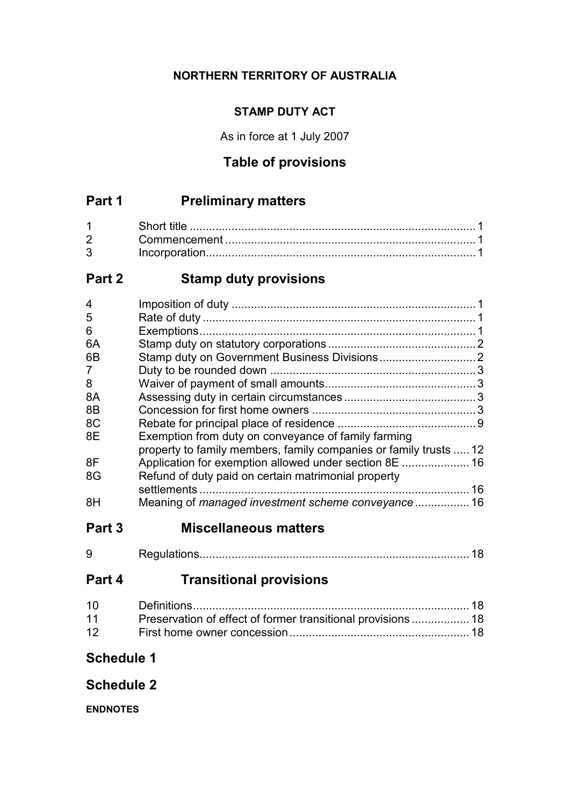# **NORTHERN TERRITORY OF AUSTRALIA**

# **STAMP DUTY ACT**

As in force at 1 July 2007

# **Table of provisions**

# **Part 1 Preliminary matters**

| $1 \quad \blacksquare$ |  |
|------------------------|--|
| $2^{\circ}$            |  |
| $3^{\circ}$            |  |

# **Part 2 Stamp duty provisions**

| 4  |                                                                   |  |
|----|-------------------------------------------------------------------|--|
| 5  |                                                                   |  |
| 6  |                                                                   |  |
| 6A |                                                                   |  |
| 6B |                                                                   |  |
| 7  |                                                                   |  |
| 8  |                                                                   |  |
| 8A |                                                                   |  |
| 8B |                                                                   |  |
| 8C |                                                                   |  |
| 8E | Exemption from duty on conveyance of family farming               |  |
|    | property to family members, family companies or family trusts  12 |  |
| 8F |                                                                   |  |
| 8G | Refund of duty paid on certain matrimonial property               |  |
|    |                                                                   |  |
| 8H |                                                                   |  |

# **Part 3 Miscellaneous matters**

| ω |  |  |  |
|---|--|--|--|
|---|--|--|--|

# **Part 4 Transitional provisions**

| 11 | Preservation of effect of former transitional provisions 18 |  |
|----|-------------------------------------------------------------|--|
| 12 |                                                             |  |

# **Schedule 1**

# **Schedule 2**

**ENDNOTES**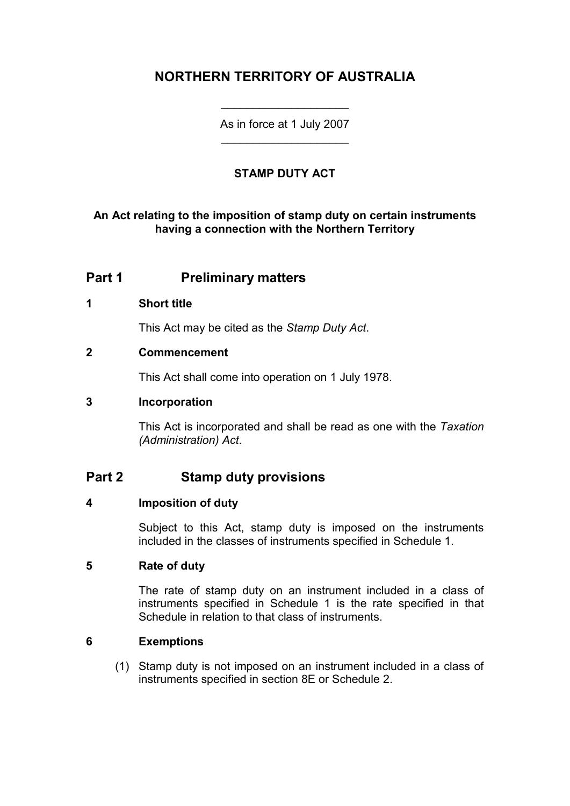# **NORTHERN TERRITORY OF AUSTRALIA**

As in force at 1 July 2007 \_\_\_\_\_\_\_\_\_\_\_\_\_\_\_\_\_\_\_\_

\_\_\_\_\_\_\_\_\_\_\_\_\_\_\_\_\_\_\_\_

### **STAMP DUTY ACT**

### **An Act relating to the imposition of stamp duty on certain instruments having a connection with the Northern Territory**

## **Part 1 Preliminary matters**

#### **1 Short title**

This Act may be cited as the *Stamp Duty Act*.

#### **2 Commencement**

This Act shall come into operation on 1 July 1978.

#### **3 Incorporation**

This Act is incorporated and shall be read as one with the *Taxation (Administration) Act*.

# **Part 2 Stamp duty provisions**

#### **4 Imposition of duty**

Subject to this Act, stamp duty is imposed on the instruments included in the classes of instruments specified in Schedule 1.

#### **5 Rate of duty**

The rate of stamp duty on an instrument included in a class of instruments specified in Schedule 1 is the rate specified in that Schedule in relation to that class of instruments.

#### **6 Exemptions**

(1) Stamp duty is not imposed on an instrument included in a class of instruments specified in section 8E or Schedule 2.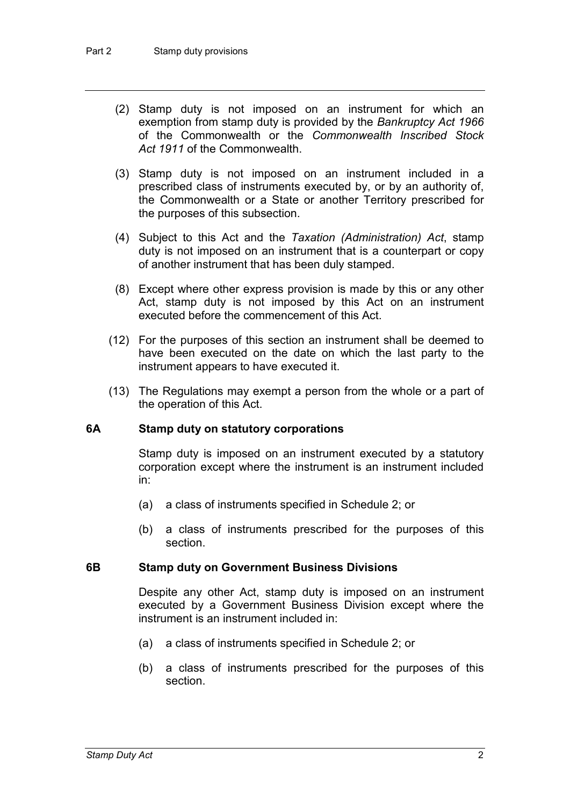- (2) Stamp duty is not imposed on an instrument for which an exemption from stamp duty is provided by the *Bankruptcy Act 1966* of the Commonwealth or the *Commonwealth Inscribed Stock Act 1911* of the Commonwealth.
- (3) Stamp duty is not imposed on an instrument included in a prescribed class of instruments executed by, or by an authority of, the Commonwealth or a State or another Territory prescribed for the purposes of this subsection.
- (4) Subject to this Act and the *Taxation (Administration) Act*, stamp duty is not imposed on an instrument that is a counterpart or copy of another instrument that has been duly stamped.
- (8) Except where other express provision is made by this or any other Act, stamp duty is not imposed by this Act on an instrument executed before the commencement of this Act.
- (12) For the purposes of this section an instrument shall be deemed to have been executed on the date on which the last party to the instrument appears to have executed it.
- (13) The Regulations may exempt a person from the whole or a part of the operation of this Act.

#### **6A Stamp duty on statutory corporations**

Stamp duty is imposed on an instrument executed by a statutory corporation except where the instrument is an instrument included in:

- (a) a class of instruments specified in Schedule 2; or
- (b) a class of instruments prescribed for the purposes of this section.

#### **6B Stamp duty on Government Business Divisions**

Despite any other Act, stamp duty is imposed on an instrument executed by a Government Business Division except where the instrument is an instrument included in:

- (a) a class of instruments specified in Schedule 2; or
- (b) a class of instruments prescribed for the purposes of this section.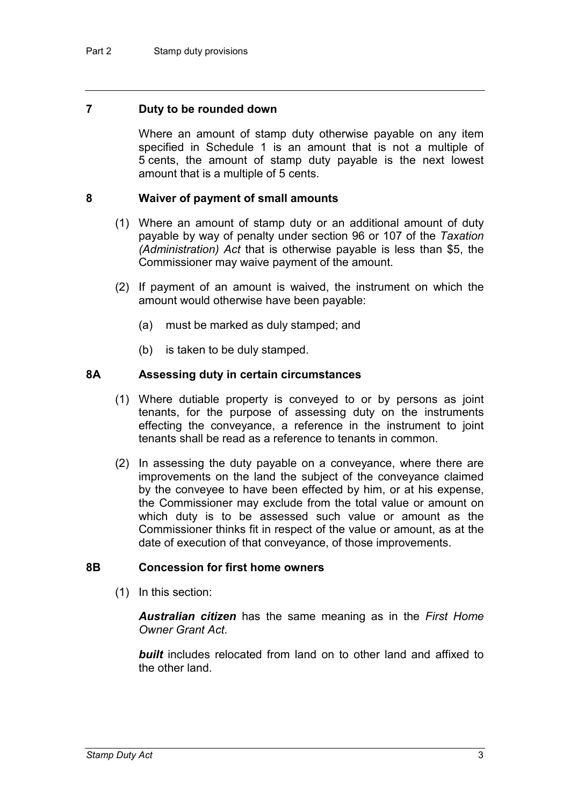#### **7 Duty to be rounded down**

Where an amount of stamp duty otherwise payable on any item specified in Schedule 1 is an amount that is not a multiple of 5 cents, the amount of stamp duty payable is the next lowest amount that is a multiple of 5 cents.

#### **8 Waiver of payment of small amounts**

- (1) Where an amount of stamp duty or an additional amount of duty payable by way of penalty under section 96 or 107 of the *Taxation (Administration) Act* that is otherwise payable is less than \$5, the Commissioner may waive payment of the amount.
- (2) If payment of an amount is waived, the instrument on which the amount would otherwise have been payable:
	- (a) must be marked as duly stamped; and
	- (b) is taken to be duly stamped.

#### **8A Assessing duty in certain circumstances**

- (1) Where dutiable property is conveyed to or by persons as joint tenants, for the purpose of assessing duty on the instruments effecting the conveyance, a reference in the instrument to joint tenants shall be read as a reference to tenants in common.
- (2) In assessing the duty payable on a conveyance, where there are improvements on the land the subject of the conveyance claimed by the conveyee to have been effected by him, or at his expense, the Commissioner may exclude from the total value or amount on which duty is to be assessed such value or amount as the Commissioner thinks fit in respect of the value or amount, as at the date of execution of that conveyance, of those improvements.

#### **8B Concession for first home owners**

(1) In this section:

*Australian citizen* has the same meaning as in the *First Home Owner Grant Act*.

**built** includes relocated from land on to other land and affixed to the other land.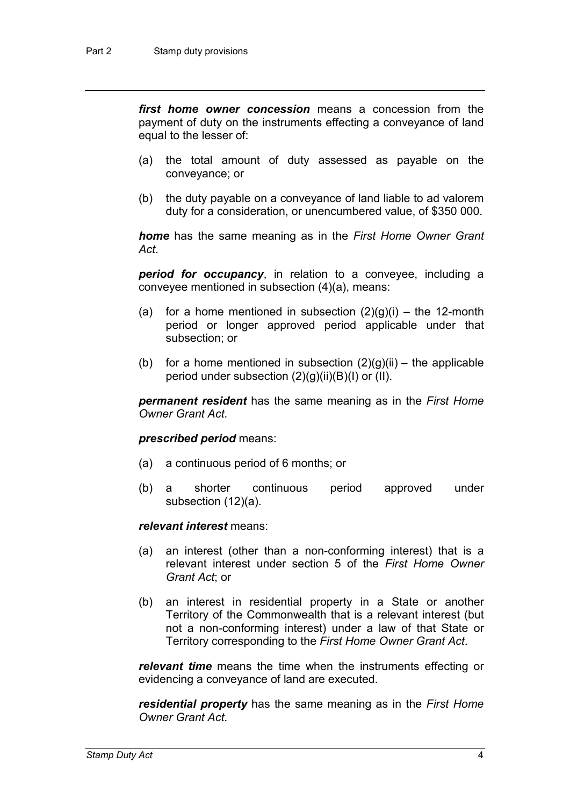*first home owner concession* means a concession from the payment of duty on the instruments effecting a conveyance of land equal to the lesser of:

- (a) the total amount of duty assessed as payable on the conveyance; or
- (b) the duty payable on a conveyance of land liable to ad valorem duty for a consideration, or unencumbered value, of \$350 000.

*home* has the same meaning as in the *First Home Owner Grant Act*.

*period for occupancy*, in relation to a conveyee, including a conveyee mentioned in subsection (4)(a), means:

- (a) for a home mentioned in subsection  $(2)(g)(i)$  the 12-month period or longer approved period applicable under that subsection; or
- (b) for a home mentioned in subsection  $(2)(g)(ii)$  the applicable period under subsection  $(2)(g)(ii)(B)(I)$  or  $(II)$ .

*permanent resident* has the same meaning as in the *First Home Owner Grant Act*.

#### *prescribed period* means:

- (a) a continuous period of 6 months; or
- (b) a shorter continuous period approved under subsection (12)(a).

#### *relevant interest* means:

- (a) an interest (other than a non-conforming interest) that is a relevant interest under section 5 of the *First Home Owner Grant Act*; or
- (b) an interest in residential property in a State or another Territory of the Commonwealth that is a relevant interest (but not a non-conforming interest) under a law of that State or Territory corresponding to the *First Home Owner Grant Act*.

*relevant time* means the time when the instruments effecting or evidencing a conveyance of land are executed.

*residential property* has the same meaning as in the *First Home Owner Grant Act*.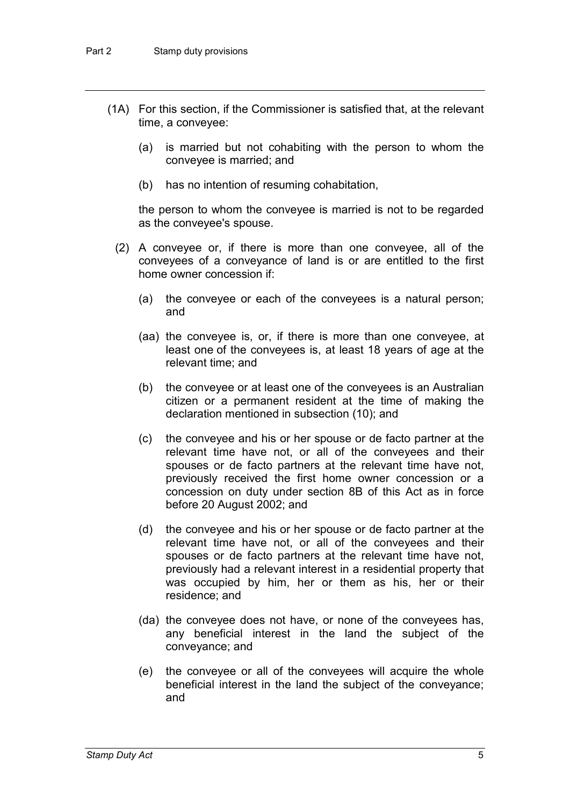- (1A) For this section, if the Commissioner is satisfied that, at the relevant time, a conveyee:
	- (a) is married but not cohabiting with the person to whom the conveyee is married; and
	- (b) has no intention of resuming cohabitation,

the person to whom the conveyee is married is not to be regarded as the conveyee's spouse.

- (2) A conveyee or, if there is more than one conveyee, all of the conveyees of a conveyance of land is or are entitled to the first home owner concession if:
	- (a) the conveyee or each of the conveyees is a natural person; and
	- (aa) the conveyee is, or, if there is more than one conveyee, at least one of the conveyees is, at least 18 years of age at the relevant time; and
	- (b) the conveyee or at least one of the conveyees is an Australian citizen or a permanent resident at the time of making the declaration mentioned in subsection (10); and
	- (c) the conveyee and his or her spouse or de facto partner at the relevant time have not, or all of the conveyees and their spouses or de facto partners at the relevant time have not, previously received the first home owner concession or a concession on duty under section 8B of this Act as in force before 20 August 2002; and
	- (d) the conveyee and his or her spouse or de facto partner at the relevant time have not, or all of the conveyees and their spouses or de facto partners at the relevant time have not, previously had a relevant interest in a residential property that was occupied by him, her or them as his, her or their residence; and
	- (da) the conveyee does not have, or none of the conveyees has, any beneficial interest in the land the subject of the conveyance; and
	- (e) the conveyee or all of the conveyees will acquire the whole beneficial interest in the land the subject of the conveyance; and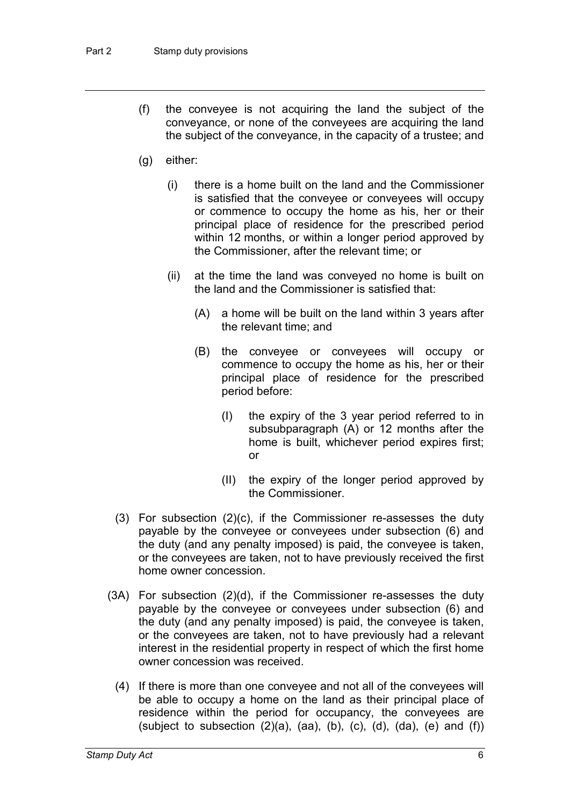- (f) the conveyee is not acquiring the land the subject of the conveyance, or none of the conveyees are acquiring the land the subject of the conveyance, in the capacity of a trustee; and
- (g) either:
	- (i) there is a home built on the land and the Commissioner is satisfied that the conveyee or conveyees will occupy or commence to occupy the home as his, her or their principal place of residence for the prescribed period within 12 months, or within a longer period approved by the Commissioner, after the relevant time; or
	- (ii) at the time the land was conveyed no home is built on the land and the Commissioner is satisfied that:
		- (A) a home will be built on the land within 3 years after the relevant time; and
		- (B) the conveyee or conveyees will occupy or commence to occupy the home as his, her or their principal place of residence for the prescribed period before:
			- (I) the expiry of the 3 year period referred to in subsubparagraph (A) or 12 months after the home is built, whichever period expires first; or
			- (II) the expiry of the longer period approved by the Commissioner.
- (3) For subsection (2)(c), if the Commissioner re-assesses the duty payable by the conveyee or conveyees under subsection (6) and the duty (and any penalty imposed) is paid, the conveyee is taken, or the conveyees are taken, not to have previously received the first home owner concession.
- (3A) For subsection (2)(d), if the Commissioner re-assesses the duty payable by the conveyee or conveyees under subsection (6) and the duty (and any penalty imposed) is paid, the conveyee is taken, or the conveyees are taken, not to have previously had a relevant interest in the residential property in respect of which the first home owner concession was received.
	- (4) If there is more than one conveyee and not all of the conveyees will be able to occupy a home on the land as their principal place of residence within the period for occupancy, the conveyees are (subject to subsection  $(2)(a)$ ,  $(aa)$ ,  $(b)$ ,  $(c)$ ,  $(d)$ ,  $(da)$ ,  $(e)$  and  $(f)$ )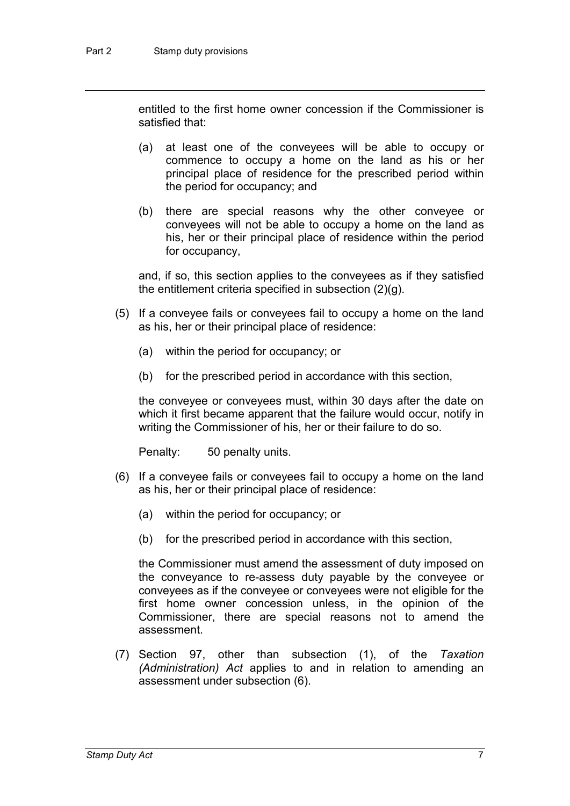entitled to the first home owner concession if the Commissioner is satisfied that:

- (a) at least one of the conveyees will be able to occupy or commence to occupy a home on the land as his or her principal place of residence for the prescribed period within the period for occupancy; and
- (b) there are special reasons why the other conveyee or conveyees will not be able to occupy a home on the land as his, her or their principal place of residence within the period for occupancy,

and, if so, this section applies to the conveyees as if they satisfied the entitlement criteria specified in subsection (2)(g).

- (5) If a conveyee fails or conveyees fail to occupy a home on the land as his, her or their principal place of residence:
	- (a) within the period for occupancy; or
	- (b) for the prescribed period in accordance with this section,

the conveyee or conveyees must, within 30 days after the date on which it first became apparent that the failure would occur, notify in writing the Commissioner of his, her or their failure to do so.

Penalty: 50 penalty units.

- (6) If a conveyee fails or conveyees fail to occupy a home on the land as his, her or their principal place of residence:
	- (a) within the period for occupancy; or
	- (b) for the prescribed period in accordance with this section,

the Commissioner must amend the assessment of duty imposed on the conveyance to re-assess duty payable by the conveyee or conveyees as if the conveyee or conveyees were not eligible for the first home owner concession unless, in the opinion of the Commissioner, there are special reasons not to amend the assessment.

(7) Section 97, other than subsection (1), of the *Taxation (Administration) Act* applies to and in relation to amending an assessment under subsection (6).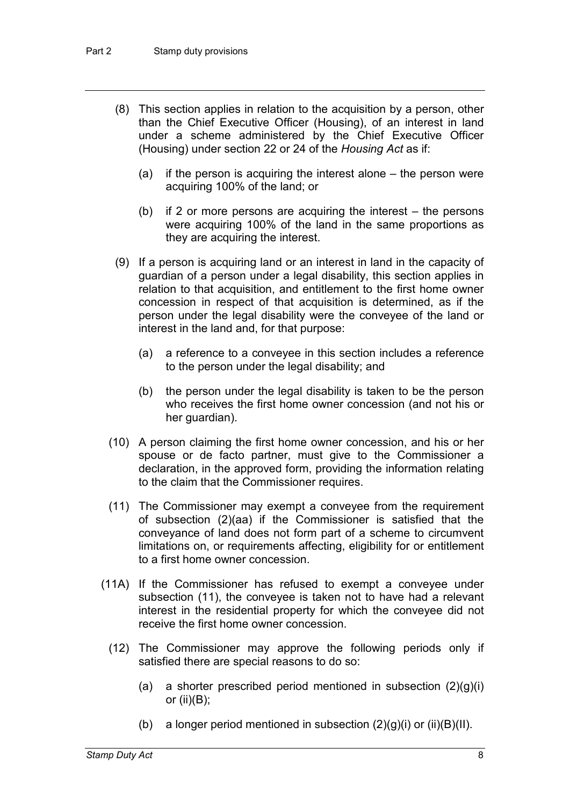- (8) This section applies in relation to the acquisition by a person, other than the Chief Executive Officer (Housing), of an interest in land under a scheme administered by the Chief Executive Officer (Housing) under section 22 or 24 of the *Housing Act* as if:
	- (a) if the person is acquiring the interest alone the person were acquiring 100% of the land; or
	- (b) if 2 or more persons are acquiring the interest the persons were acquiring 100% of the land in the same proportions as they are acquiring the interest.
- (9) If a person is acquiring land or an interest in land in the capacity of guardian of a person under a legal disability, this section applies in relation to that acquisition, and entitlement to the first home owner concession in respect of that acquisition is determined, as if the person under the legal disability were the conveyee of the land or interest in the land and, for that purpose:
	- (a) a reference to a conveyee in this section includes a reference to the person under the legal disability; and
	- (b) the person under the legal disability is taken to be the person who receives the first home owner concession (and not his or her guardian).
- (10) A person claiming the first home owner concession, and his or her spouse or de facto partner, must give to the Commissioner a declaration, in the approved form, providing the information relating to the claim that the Commissioner requires.
- (11) The Commissioner may exempt a conveyee from the requirement of subsection (2)(aa) if the Commissioner is satisfied that the conveyance of land does not form part of a scheme to circumvent limitations on, or requirements affecting, eligibility for or entitlement to a first home owner concession.
- (11A) If the Commissioner has refused to exempt a conveyee under subsection (11), the conveyee is taken not to have had a relevant interest in the residential property for which the conveyee did not receive the first home owner concession.
	- (12) The Commissioner may approve the following periods only if satisfied there are special reasons to do so:
		- (a) a shorter prescribed period mentioned in subsection  $(2)(g)(i)$ or (ii)(B);
		- (b) a longer period mentioned in subsection  $(2)(g)(i)$  or  $(ii)(B)(II)$ .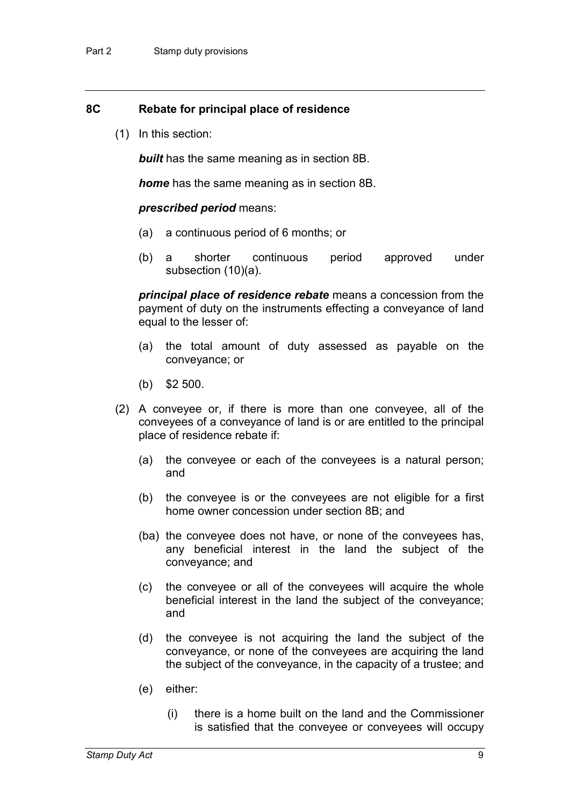#### **8C Rebate for principal place of residence**

(1) In this section:

*built* has the same meaning as in section 8B.

*home* has the same meaning as in section 8B.

#### *prescribed period* means:

- (a) a continuous period of 6 months; or
- (b) a shorter continuous period approved under subsection (10)(a).

*principal place of residence rebate* means a concession from the payment of duty on the instruments effecting a conveyance of land equal to the lesser of:

- (a) the total amount of duty assessed as payable on the conveyance; or
- (b) \$2 500.
- (2) A conveyee or, if there is more than one conveyee, all of the conveyees of a conveyance of land is or are entitled to the principal place of residence rebate if:
	- (a) the conveyee or each of the conveyees is a natural person; and
	- (b) the conveyee is or the conveyees are not eligible for a first home owner concession under section 8B; and
	- (ba) the conveyee does not have, or none of the conveyees has, any beneficial interest in the land the subject of the conveyance; and
	- (c) the conveyee or all of the conveyees will acquire the whole beneficial interest in the land the subject of the conveyance; and
	- (d) the conveyee is not acquiring the land the subject of the conveyance, or none of the conveyees are acquiring the land the subject of the conveyance, in the capacity of a trustee; and
	- (e) either:
		- (i) there is a home built on the land and the Commissioner is satisfied that the conveyee or conveyees will occupy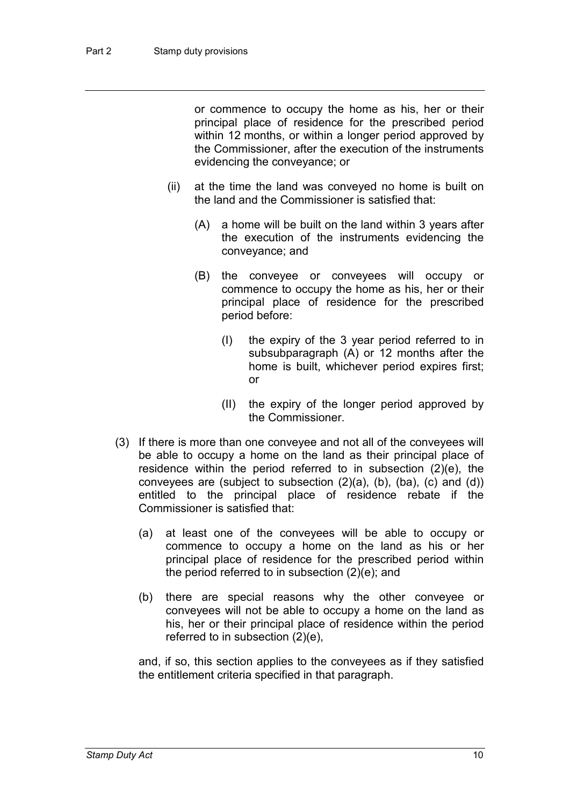or commence to occupy the home as his, her or their principal place of residence for the prescribed period within 12 months, or within a longer period approved by the Commissioner, after the execution of the instruments evidencing the conveyance; or

- (ii) at the time the land was conveyed no home is built on the land and the Commissioner is satisfied that:
	- (A) a home will be built on the land within 3 years after the execution of the instruments evidencing the conveyance; and
	- (B) the conveyee or conveyees will occupy or commence to occupy the home as his, her or their principal place of residence for the prescribed period before:
		- (I) the expiry of the 3 year period referred to in subsubparagraph (A) or 12 months after the home is built, whichever period expires first; or
		- (II) the expiry of the longer period approved by the Commissioner.
- (3) If there is more than one conveyee and not all of the conveyees will be able to occupy a home on the land as their principal place of residence within the period referred to in subsection (2)(e), the conveyees are (subject to subsection  $(2)(a)$ ,  $(b)$ ,  $(ba)$ ,  $(c)$  and  $(d)$ ) entitled to the principal place of residence rebate if the Commissioner is satisfied that:
	- (a) at least one of the conveyees will be able to occupy or commence to occupy a home on the land as his or her principal place of residence for the prescribed period within the period referred to in subsection (2)(e); and
	- (b) there are special reasons why the other conveyee or conveyees will not be able to occupy a home on the land as his, her or their principal place of residence within the period referred to in subsection (2)(e),

and, if so, this section applies to the conveyees as if they satisfied the entitlement criteria specified in that paragraph.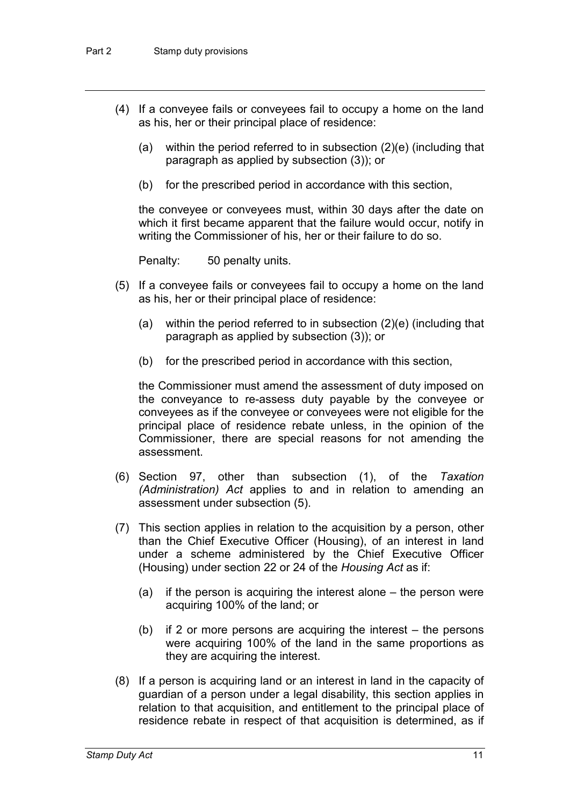- (4) If a conveyee fails or conveyees fail to occupy a home on the land as his, her or their principal place of residence:
	- (a) within the period referred to in subsection (2)(e) (including that paragraph as applied by subsection (3)); or
	- (b) for the prescribed period in accordance with this section,

the conveyee or conveyees must, within 30 days after the date on which it first became apparent that the failure would occur, notify in writing the Commissioner of his, her or their failure to do so.

Penalty: 50 penalty units.

- (5) If a conveyee fails or conveyees fail to occupy a home on the land as his, her or their principal place of residence:
	- (a) within the period referred to in subsection (2)(e) (including that paragraph as applied by subsection (3)); or
	- (b) for the prescribed period in accordance with this section,

the Commissioner must amend the assessment of duty imposed on the conveyance to re-assess duty payable by the conveyee or conveyees as if the conveyee or conveyees were not eligible for the principal place of residence rebate unless, in the opinion of the Commissioner, there are special reasons for not amending the assessment.

- (6) Section 97, other than subsection (1), of the *Taxation (Administration) Act* applies to and in relation to amending an assessment under subsection (5).
- (7) This section applies in relation to the acquisition by a person, other than the Chief Executive Officer (Housing), of an interest in land under a scheme administered by the Chief Executive Officer (Housing) under section 22 or 24 of the *Housing Act* as if:
	- (a) if the person is acquiring the interest alone the person were acquiring 100% of the land; or
	- (b) if 2 or more persons are acquiring the interest the persons were acquiring 100% of the land in the same proportions as they are acquiring the interest.
- (8) If a person is acquiring land or an interest in land in the capacity of guardian of a person under a legal disability, this section applies in relation to that acquisition, and entitlement to the principal place of residence rebate in respect of that acquisition is determined, as if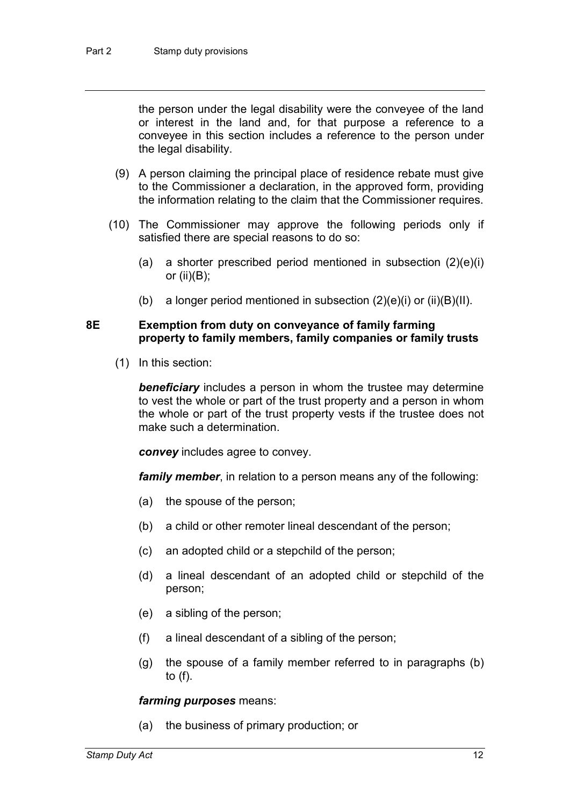the person under the legal disability were the conveyee of the land or interest in the land and, for that purpose a reference to a conveyee in this section includes a reference to the person under the legal disability.

- (9) A person claiming the principal place of residence rebate must give to the Commissioner a declaration, in the approved form, providing the information relating to the claim that the Commissioner requires.
- (10) The Commissioner may approve the following periods only if satisfied there are special reasons to do so:
	- (a) a shorter prescribed period mentioned in subsection (2)(e)(i) or (ii) $(B)$ ;
	- (b) a longer period mentioned in subsection  $(2)(e)(i)$  or  $(ii)(B)(II)$ .

#### **8E Exemption from duty on conveyance of family farming property to family members, family companies or family trusts**

(1) In this section:

*beneficiary* includes a person in whom the trustee may determine to vest the whole or part of the trust property and a person in whom the whole or part of the trust property vests if the trustee does not make such a determination.

*convey* includes agree to convey.

*family member*, in relation to a person means any of the following:

- (a) the spouse of the person;
- (b) a child or other remoter lineal descendant of the person;
- (c) an adopted child or a stepchild of the person;
- (d) a lineal descendant of an adopted child or stepchild of the person;
- (e) a sibling of the person;
- (f) a lineal descendant of a sibling of the person;
- (g) the spouse of a family member referred to in paragraphs (b) to (f).

#### *farming purposes* means:

(a) the business of primary production; or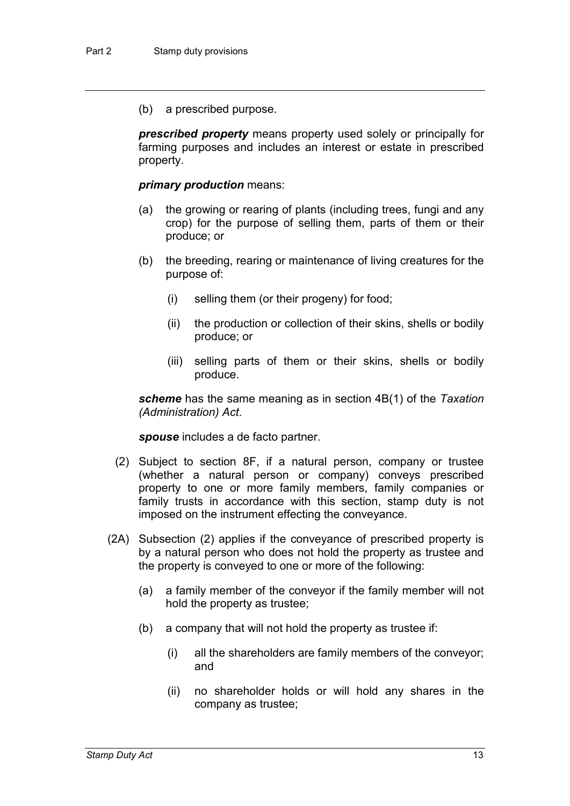(b) a prescribed purpose.

*prescribed property* means property used solely or principally for farming purposes and includes an interest or estate in prescribed property.

#### *primary production* means:

- (a) the growing or rearing of plants (including trees, fungi and any crop) for the purpose of selling them, parts of them or their produce; or
- (b) the breeding, rearing or maintenance of living creatures for the purpose of:
	- (i) selling them (or their progeny) for food;
	- (ii) the production or collection of their skins, shells or bodily produce; or
	- (iii) selling parts of them or their skins, shells or bodily produce.

*scheme* has the same meaning as in section 4B(1) of the *Taxation (Administration) Act*.

*spouse* includes a de facto partner.

- (2) Subject to section 8F, if a natural person, company or trustee (whether a natural person or company) conveys prescribed property to one or more family members, family companies or family trusts in accordance with this section, stamp duty is not imposed on the instrument effecting the conveyance.
- (2A) Subsection (2) applies if the conveyance of prescribed property is by a natural person who does not hold the property as trustee and the property is conveyed to one or more of the following:
	- (a) a family member of the conveyor if the family member will not hold the property as trustee;
	- (b) a company that will not hold the property as trustee if:
		- (i) all the shareholders are family members of the conveyor; and
		- (ii) no shareholder holds or will hold any shares in the company as trustee;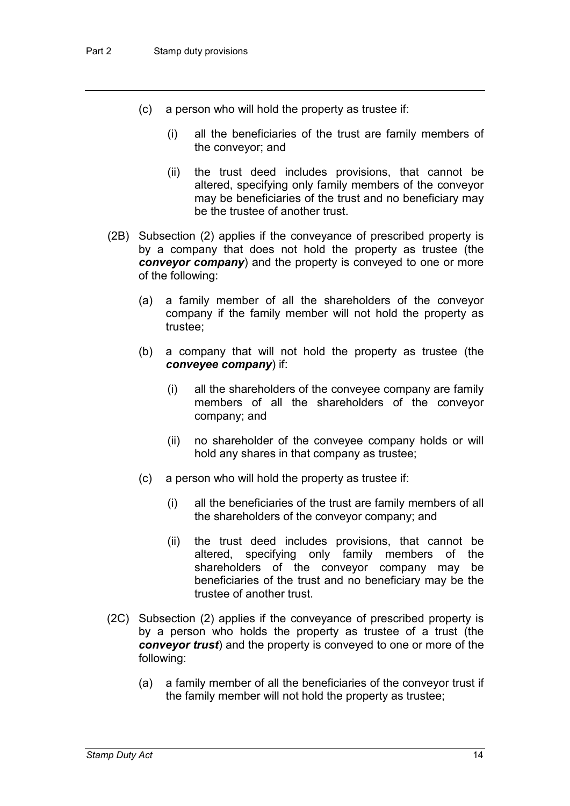- (c) a person who will hold the property as trustee if:
	- (i) all the beneficiaries of the trust are family members of the conveyor; and
	- (ii) the trust deed includes provisions, that cannot be altered, specifying only family members of the conveyor may be beneficiaries of the trust and no beneficiary may be the trustee of another trust.
- (2B) Subsection (2) applies if the conveyance of prescribed property is by a company that does not hold the property as trustee (the *conveyor company*) and the property is conveyed to one or more of the following:
	- (a) a family member of all the shareholders of the conveyor company if the family member will not hold the property as trustee;
	- (b) a company that will not hold the property as trustee (the *conveyee company*) if:
		- (i) all the shareholders of the conveyee company are family members of all the shareholders of the conveyor company; and
		- (ii) no shareholder of the conveyee company holds or will hold any shares in that company as trustee;
	- (c) a person who will hold the property as trustee if:
		- (i) all the beneficiaries of the trust are family members of all the shareholders of the conveyor company; and
		- (ii) the trust deed includes provisions, that cannot be altered, specifying only family members of the shareholders of the conveyor company may be beneficiaries of the trust and no beneficiary may be the trustee of another trust.
- (2C) Subsection (2) applies if the conveyance of prescribed property is by a person who holds the property as trustee of a trust (the *conveyor trust*) and the property is conveyed to one or more of the following:
	- (a) a family member of all the beneficiaries of the conveyor trust if the family member will not hold the property as trustee;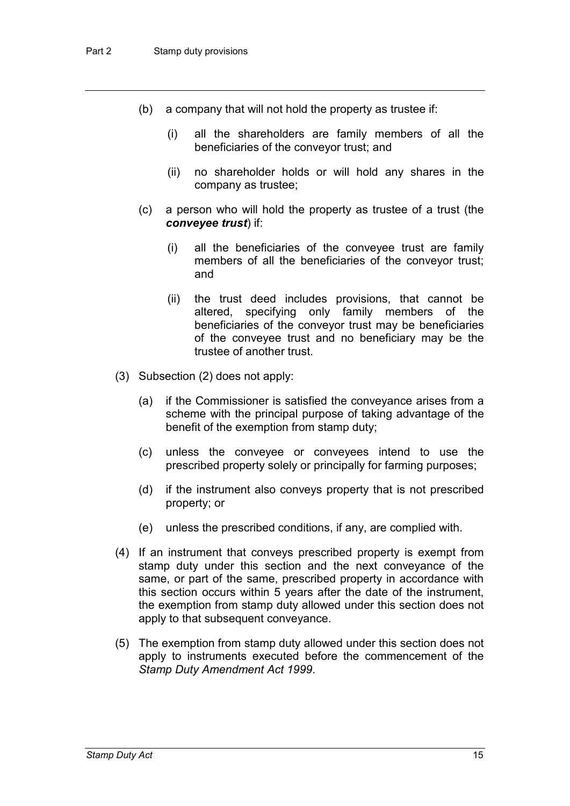- (b) a company that will not hold the property as trustee if:
	- (i) all the shareholders are family members of all the beneficiaries of the conveyor trust; and
	- (ii) no shareholder holds or will hold any shares in the company as trustee;
- (c) a person who will hold the property as trustee of a trust (the *conveyee trust*) if:
	- (i) all the beneficiaries of the conveyee trust are family members of all the beneficiaries of the conveyor trust; and
	- (ii) the trust deed includes provisions, that cannot be altered, specifying only family members of the beneficiaries of the conveyor trust may be beneficiaries of the conveyee trust and no beneficiary may be the trustee of another trust.
- (3) Subsection (2) does not apply:
	- (a) if the Commissioner is satisfied the conveyance arises from a scheme with the principal purpose of taking advantage of the benefit of the exemption from stamp duty;
	- (c) unless the conveyee or conveyees intend to use the prescribed property solely or principally for farming purposes;
	- (d) if the instrument also conveys property that is not prescribed property; or
	- (e) unless the prescribed conditions, if any, are complied with.
- (4) If an instrument that conveys prescribed property is exempt from stamp duty under this section and the next conveyance of the same, or part of the same, prescribed property in accordance with this section occurs within 5 years after the date of the instrument, the exemption from stamp duty allowed under this section does not apply to that subsequent conveyance.
- (5) The exemption from stamp duty allowed under this section does not apply to instruments executed before the commencement of the *Stamp Duty Amendment Act 1999*.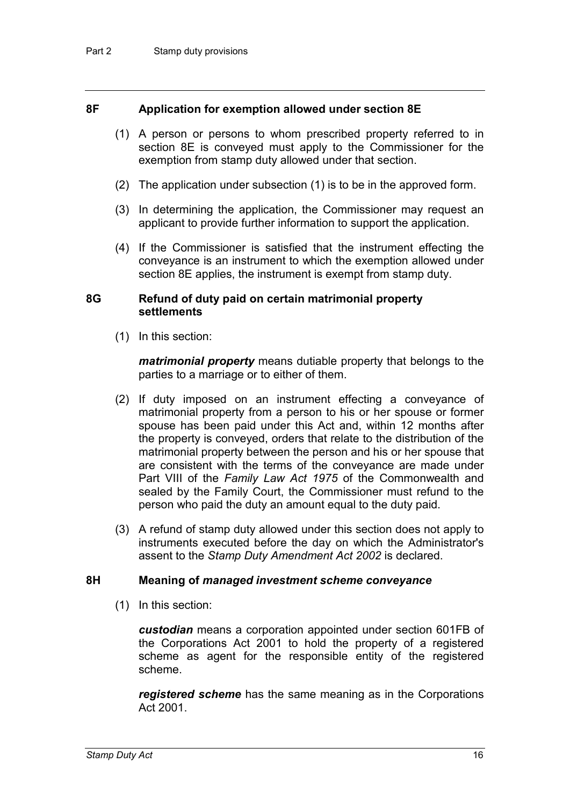#### **8F Application for exemption allowed under section 8E**

- (1) A person or persons to whom prescribed property referred to in section 8E is conveyed must apply to the Commissioner for the exemption from stamp duty allowed under that section.
- (2) The application under subsection (1) is to be in the approved form.
- (3) In determining the application, the Commissioner may request an applicant to provide further information to support the application.
- (4) If the Commissioner is satisfied that the instrument effecting the conveyance is an instrument to which the exemption allowed under section 8E applies, the instrument is exempt from stamp duty.

#### **8G Refund of duty paid on certain matrimonial property settlements**

(1) In this section:

*matrimonial property* means dutiable property that belongs to the parties to a marriage or to either of them.

- (2) If duty imposed on an instrument effecting a conveyance of matrimonial property from a person to his or her spouse or former spouse has been paid under this Act and, within 12 months after the property is conveyed, orders that relate to the distribution of the matrimonial property between the person and his or her spouse that are consistent with the terms of the conveyance are made under Part VIII of the *Family Law Act 1975* of the Commonwealth and sealed by the Family Court, the Commissioner must refund to the person who paid the duty an amount equal to the duty paid.
- (3) A refund of stamp duty allowed under this section does not apply to instruments executed before the day on which the Administrator's assent to the *Stamp Duty Amendment Act 2002* is declared.

#### **8H Meaning of** *managed investment scheme conveyance*

(1) In this section:

*custodian* means a corporation appointed under section 601FB of the Corporations Act 2001 to hold the property of a registered scheme as agent for the responsible entity of the registered scheme.

*registered scheme* has the same meaning as in the Corporations Act 2001.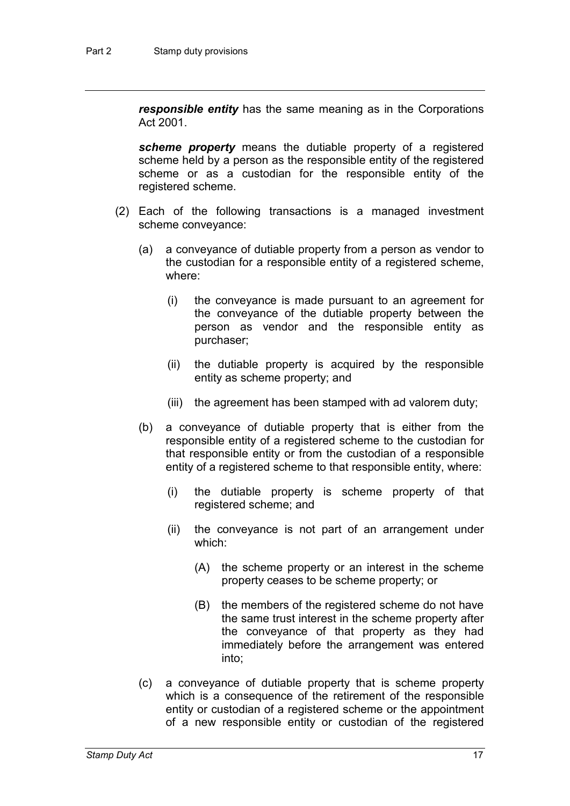*responsible entity* has the same meaning as in the Corporations Act 2001.

*scheme property* means the dutiable property of a registered scheme held by a person as the responsible entity of the registered scheme or as a custodian for the responsible entity of the registered scheme.

- (2) Each of the following transactions is a managed investment scheme conveyance:
	- (a) a conveyance of dutiable property from a person as vendor to the custodian for a responsible entity of a registered scheme, where:
		- (i) the conveyance is made pursuant to an agreement for the conveyance of the dutiable property between the person as vendor and the responsible entity as purchaser;
		- (ii) the dutiable property is acquired by the responsible entity as scheme property; and
		- (iii) the agreement has been stamped with ad valorem duty;
	- (b) a conveyance of dutiable property that is either from the responsible entity of a registered scheme to the custodian for that responsible entity or from the custodian of a responsible entity of a registered scheme to that responsible entity, where:
		- (i) the dutiable property is scheme property of that registered scheme; and
		- (ii) the conveyance is not part of an arrangement under which:
			- (A) the scheme property or an interest in the scheme property ceases to be scheme property; or
			- (B) the members of the registered scheme do not have the same trust interest in the scheme property after the conveyance of that property as they had immediately before the arrangement was entered into;
	- (c) a conveyance of dutiable property that is scheme property which is a consequence of the retirement of the responsible entity or custodian of a registered scheme or the appointment of a new responsible entity or custodian of the registered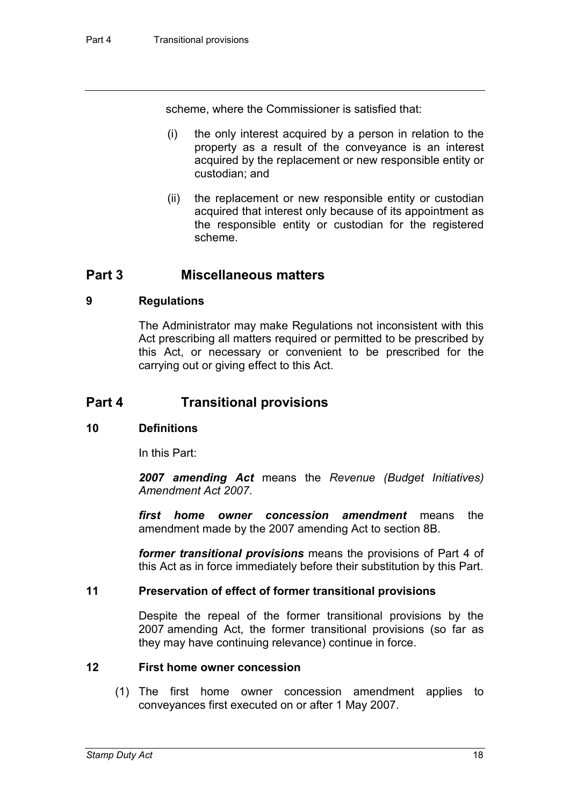scheme, where the Commissioner is satisfied that:

- (i) the only interest acquired by a person in relation to the property as a result of the conveyance is an interest acquired by the replacement or new responsible entity or custodian; and
- (ii) the replacement or new responsible entity or custodian acquired that interest only because of its appointment as the responsible entity or custodian for the registered scheme.

### **Part 3 Miscellaneous matters**

#### **9 Regulations**

The Administrator may make Regulations not inconsistent with this Act prescribing all matters required or permitted to be prescribed by this Act, or necessary or convenient to be prescribed for the carrying out or giving effect to this Act.

# **Part 4 Transitional provisions**

#### **10 Definitions**

In this Part:

*2007 amending Act* means the *Revenue (Budget Initiatives) Amendment Act 2007*.

*first home owner concession amendment* means the amendment made by the 2007 amending Act to section 8B.

*former transitional provisions* means the provisions of Part 4 of this Act as in force immediately before their substitution by this Part.

#### **11 Preservation of effect of former transitional provisions**

Despite the repeal of the former transitional provisions by the 2007 amending Act, the former transitional provisions (so far as they may have continuing relevance) continue in force.

#### **12 First home owner concession**

(1) The first home owner concession amendment applies to conveyances first executed on or after 1 May 2007.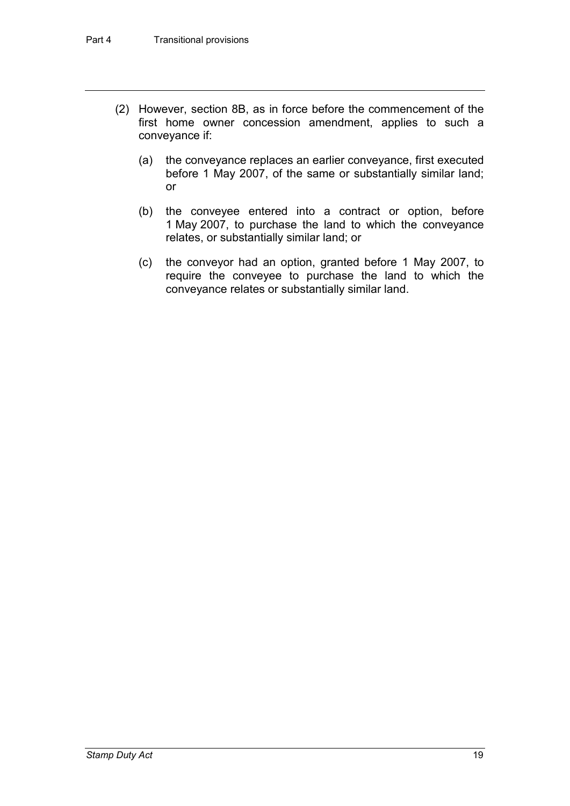- (2) However, section 8B, as in force before the commencement of the first home owner concession amendment, applies to such a conveyance if:
	- (a) the conveyance replaces an earlier conveyance, first executed before 1 May 2007, of the same or substantially similar land; or
	- (b) the conveyee entered into a contract or option, before 1 May 2007, to purchase the land to which the conveyance relates, or substantially similar land; or
	- (c) the conveyor had an option, granted before 1 May 2007, to require the conveyee to purchase the land to which the conveyance relates or substantially similar land.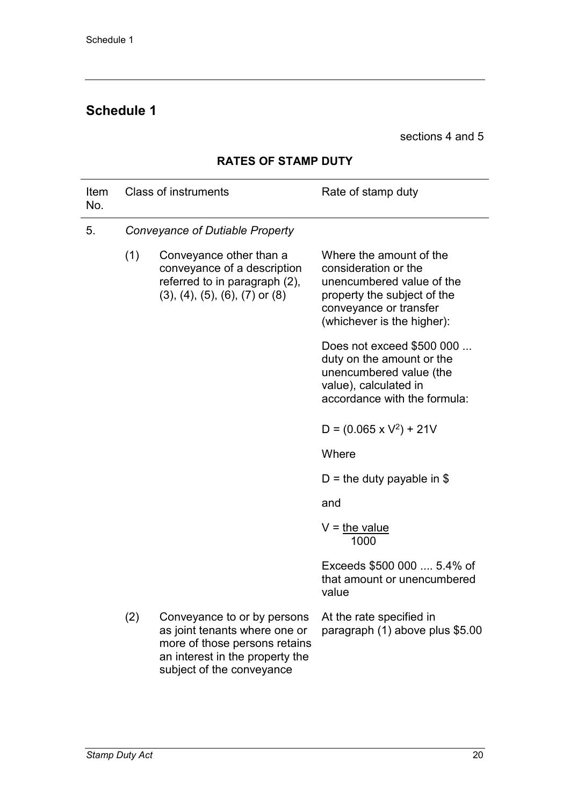# **Schedule 1**

sections 4 and 5

| Item<br>No. |     | <b>Class of instruments</b>                                                                                                                                   | Rate of stamp duty                                                                                                                                                  |
|-------------|-----|---------------------------------------------------------------------------------------------------------------------------------------------------------------|---------------------------------------------------------------------------------------------------------------------------------------------------------------------|
| 5.          |     | Conveyance of Dutiable Property                                                                                                                               |                                                                                                                                                                     |
|             | (1) | Conveyance other than a<br>conveyance of a description<br>referred to in paragraph (2),<br>$(3)$ , $(4)$ , $(5)$ , $(6)$ , $(7)$ or $(8)$                     | Where the amount of the<br>consideration or the<br>unencumbered value of the<br>property the subject of the<br>conveyance or transfer<br>(whichever is the higher): |
|             |     |                                                                                                                                                               | Does not exceed \$500 000<br>duty on the amount or the<br>unencumbered value (the<br>value), calculated in<br>accordance with the formula:                          |
|             |     |                                                                                                                                                               | $D = (0.065 \times V^2) + 21V$                                                                                                                                      |
|             |     |                                                                                                                                                               | Where                                                                                                                                                               |
|             |     |                                                                                                                                                               | D = the duty payable in \$                                                                                                                                          |
|             |     |                                                                                                                                                               | and                                                                                                                                                                 |
|             |     |                                                                                                                                                               | $V =$ the value<br>1000                                                                                                                                             |
|             |     |                                                                                                                                                               | Exceeds \$500 000  5.4% of<br>that amount or unencumbered<br>value                                                                                                  |
|             | (2) | Conveyance to or by persons<br>as joint tenants where one or<br>more of those persons retains<br>an interest in the property the<br>subject of the conveyance | At the rate specified in<br>paragraph (1) above plus \$5.00                                                                                                         |

### **RATES OF STAMP DUTY**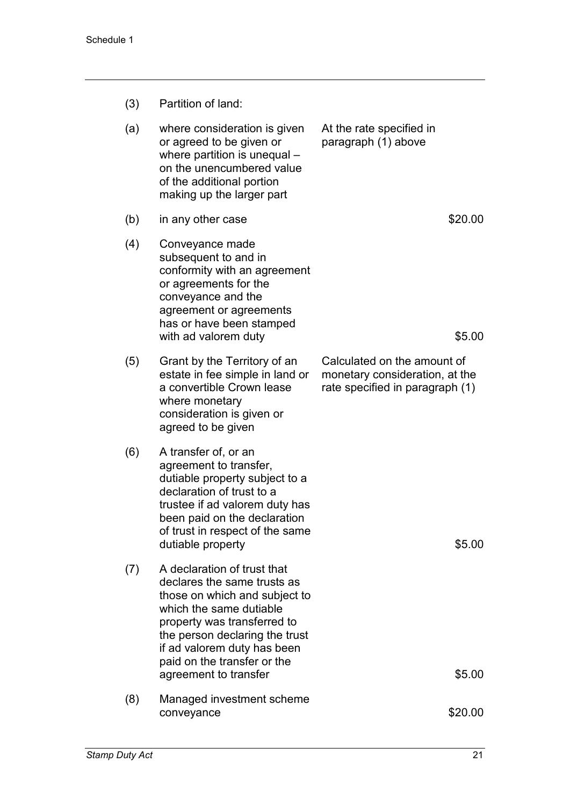| (3) | Partition of land: |  |
|-----|--------------------|--|
|     |                    |  |

| (a) | where consideration is given<br>or agreed to be given or<br>where partition is unequal -<br>on the unencumbered value<br>of the additional portion<br>making up the larger part                                                                                                | At the rate specified in<br>paragraph (1) above                                                  |
|-----|--------------------------------------------------------------------------------------------------------------------------------------------------------------------------------------------------------------------------------------------------------------------------------|--------------------------------------------------------------------------------------------------|
| (b) | in any other case                                                                                                                                                                                                                                                              | \$20.00                                                                                          |
| (4) | Conveyance made<br>subsequent to and in<br>conformity with an agreement<br>or agreements for the<br>conveyance and the<br>agreement or agreements<br>has or have been stamped<br>with ad valorem duty                                                                          | \$5.00                                                                                           |
| (5) | Grant by the Territory of an<br>estate in fee simple in land or<br>a convertible Crown lease<br>where monetary<br>consideration is given or<br>agreed to be given                                                                                                              | Calculated on the amount of<br>monetary consideration, at the<br>rate specified in paragraph (1) |
| (6) | A transfer of, or an<br>agreement to transfer,<br>dutiable property subject to a<br>declaration of trust to a<br>trustee if ad valorem duty has<br>been paid on the declaration<br>of trust in respect of the same<br>dutiable property                                        | \$5.00                                                                                           |
| (7) | A declaration of trust that<br>declares the same trusts as<br>those on which and subject to<br>which the same dutiable<br>property was transferred to<br>the person declaring the trust<br>if ad valorem duty has been<br>paid on the transfer or the<br>agreement to transfer | \$5.00                                                                                           |
| (8) | Managed investment scheme<br>conveyance                                                                                                                                                                                                                                        | \$20.00                                                                                          |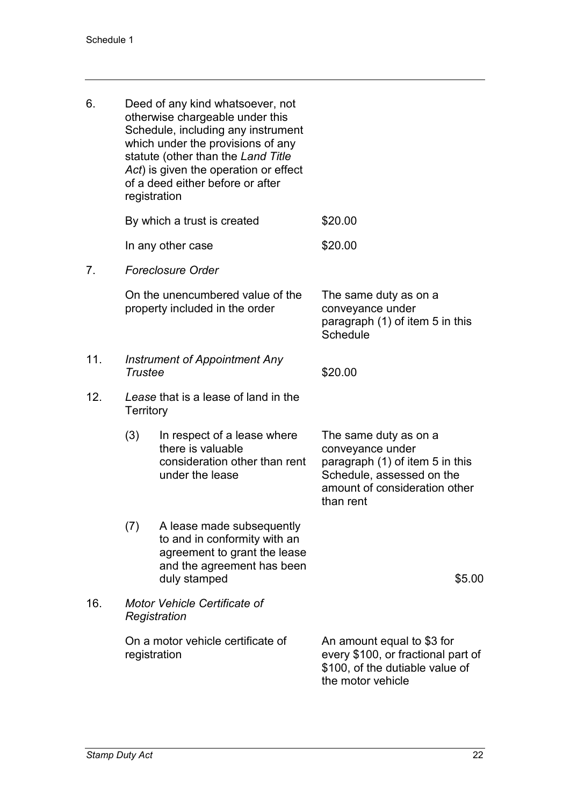| 6.             | registration                                      | Deed of any kind whatsoever, not<br>otherwise chargeable under this<br>Schedule, including any instrument<br>which under the provisions of any<br>statute (other than the Land Title<br>Act) is given the operation or effect<br>of a deed either before or after |                                                                                                                                                         |
|----------------|---------------------------------------------------|-------------------------------------------------------------------------------------------------------------------------------------------------------------------------------------------------------------------------------------------------------------------|---------------------------------------------------------------------------------------------------------------------------------------------------------|
|                |                                                   | By which a trust is created                                                                                                                                                                                                                                       | \$20.00                                                                                                                                                 |
|                |                                                   | In any other case                                                                                                                                                                                                                                                 | \$20.00                                                                                                                                                 |
| 7 <sub>1</sub> |                                                   | <b>Foreclosure Order</b>                                                                                                                                                                                                                                          |                                                                                                                                                         |
|                |                                                   | On the unencumbered value of the<br>property included in the order                                                                                                                                                                                                | The same duty as on a<br>conveyance under<br>paragraph (1) of item 5 in this<br>Schedule                                                                |
| 11.            | <b>Instrument of Appointment Any</b><br>Trustee   |                                                                                                                                                                                                                                                                   | \$20.00                                                                                                                                                 |
| 12.            | <b>Territory</b>                                  | Lease that is a lease of land in the                                                                                                                                                                                                                              |                                                                                                                                                         |
|                | (3)                                               | In respect of a lease where<br>there is valuable<br>consideration other than rent<br>under the lease                                                                                                                                                              | The same duty as on a<br>conveyance under<br>paragraph (1) of item 5 in this<br>Schedule, assessed on the<br>amount of consideration other<br>than rent |
|                | (7)                                               | A lease made subsequently<br>to and in conformity with an<br>agreement to grant the lease<br>and the agreement has been<br>duly stamped                                                                                                                           | \$5.00                                                                                                                                                  |
| 16.            |                                                   | Motor Vehicle Certificate of<br>Registration                                                                                                                                                                                                                      |                                                                                                                                                         |
|                | On a motor vehicle certificate of<br>registration |                                                                                                                                                                                                                                                                   | An amount equal to \$3 for<br>every \$100, or fractional part of<br>\$100, of the dutiable value of<br>the motor vehicle                                |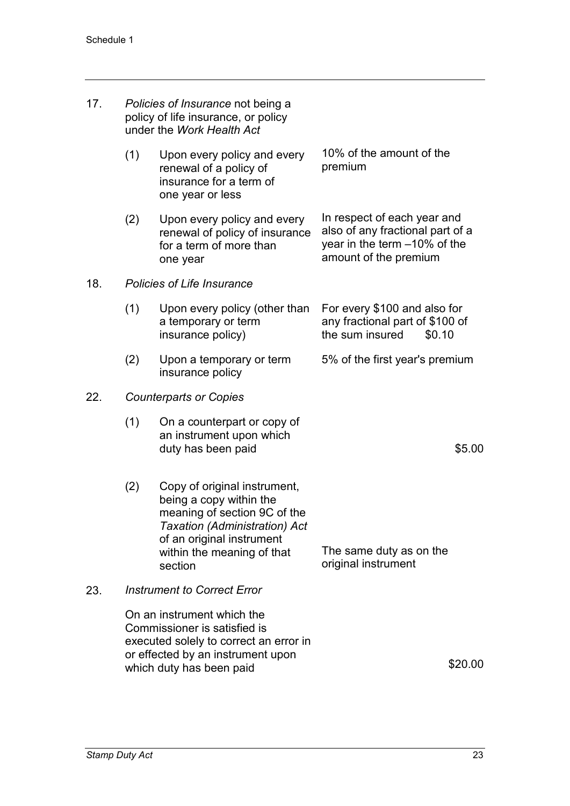| 17. |     | Policies of Insurance not being a<br>policy of life insurance, or policy<br>under the Work Health Act                                                                                                 |                                                                                                                          |
|-----|-----|-------------------------------------------------------------------------------------------------------------------------------------------------------------------------------------------------------|--------------------------------------------------------------------------------------------------------------------------|
|     | (1) | Upon every policy and every<br>renewal of a policy of<br>insurance for a term of<br>one year or less                                                                                                  | 10% of the amount of the<br>premium                                                                                      |
|     | (2) | Upon every policy and every<br>renewal of policy of insurance<br>for a term of more than<br>one year                                                                                                  | In respect of each year and<br>also of any fractional part of a<br>year in the term -10% of the<br>amount of the premium |
| 18. |     | Policies of Life Insurance                                                                                                                                                                            |                                                                                                                          |
|     | (1) | Upon every policy (other than<br>a temporary or term<br>insurance policy)                                                                                                                             | For every \$100 and also for<br>any fractional part of \$100 of<br>the sum insured<br>\$0.10                             |
|     | (2) | Upon a temporary or term<br>insurance policy                                                                                                                                                          | 5% of the first year's premium                                                                                           |
| 22. |     | <b>Counterparts or Copies</b>                                                                                                                                                                         |                                                                                                                          |
|     | (1) | On a counterpart or copy of<br>an instrument upon which<br>duty has been paid                                                                                                                         | \$5.00                                                                                                                   |
|     | (2) | Copy of original instrument,<br>being a copy within the<br>meaning of section 9C of the<br><b>Taxation (Administration) Act</b><br>of an original instrument<br>within the meaning of that<br>section | The same duty as on the<br>original instrument                                                                           |
| 23. |     | <b>Instrument to Correct Error</b>                                                                                                                                                                    |                                                                                                                          |
|     |     | On an instrument which the<br>Commissioner is satisfied is<br>executed solely to correct an error in<br>or effected by an instrument upon<br>which duty has been paid                                 | \$20.00                                                                                                                  |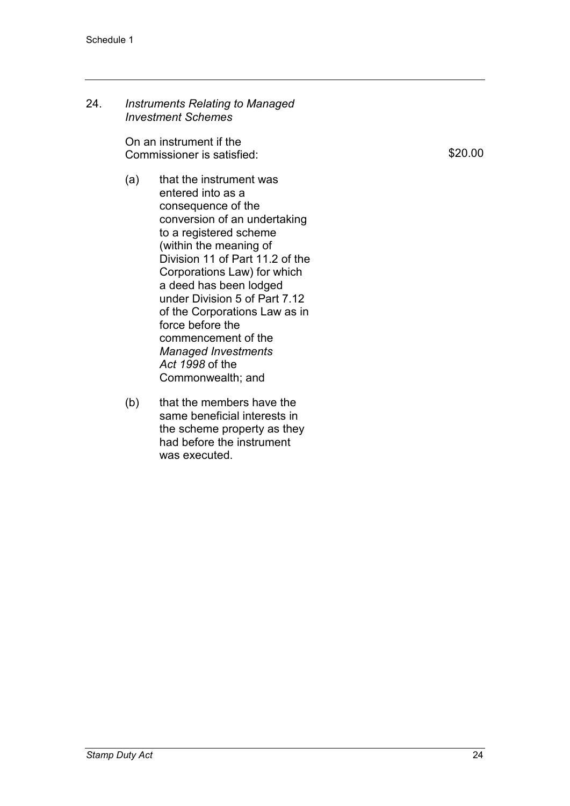24. *Instruments Relating to Managed Investment Schemes*

> On an instrument if the Commissioner is satisfied:

- (a) that the instrument was entered into as a consequence of the conversion of an undertaking to a registered scheme (within the meaning of Division 11 of Part 11.2 of the Corporations Law) for which a deed has been lodged under Division 5 of Part 7.12 of the Corporations Law as in force before the commencement of the *Managed Investments Act 1998* of the Commonwealth; and
- (b) that the members have the same beneficial interests in the scheme property as they had before the instrument was executed.

\$20.00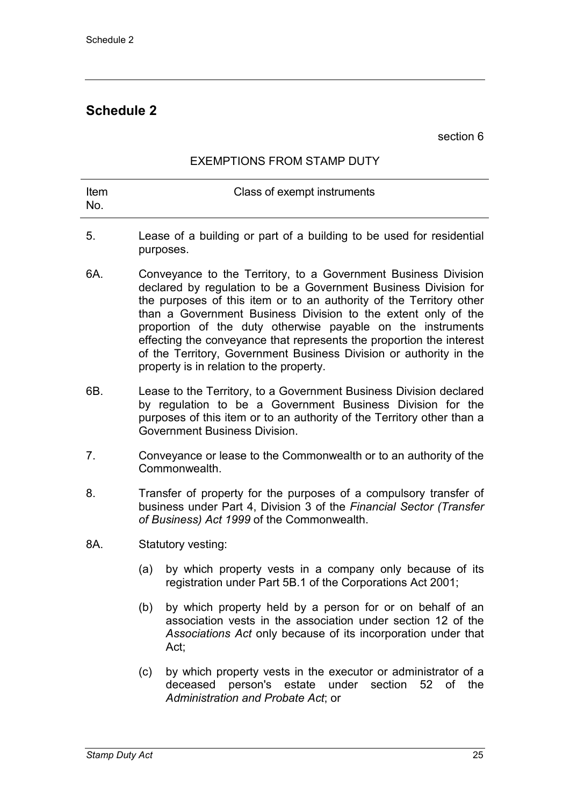# **Schedule 2**

section 6

#### EXEMPTIONS FROM STAMP DUTY

| ltem<br>- No. | Class of exempt instruments                                           |
|---------------|-----------------------------------------------------------------------|
|               | l agea of a building or nart of a building to be used for residential |

- 5. Lease of a building or part of a building to be used for residential purposes.
- 6A. Conveyance to the Territory, to a Government Business Division declared by regulation to be a Government Business Division for the purposes of this item or to an authority of the Territory other than a Government Business Division to the extent only of the proportion of the duty otherwise payable on the instruments effecting the conveyance that represents the proportion the interest of the Territory, Government Business Division or authority in the property is in relation to the property.
- 6B. Lease to the Territory, to a Government Business Division declared by regulation to be a Government Business Division for the purposes of this item or to an authority of the Territory other than a Government Business Division.
- 7. Conveyance or lease to the Commonwealth or to an authority of the Commonwealth.
- 8. Transfer of property for the purposes of a compulsory transfer of business under Part 4, Division 3 of the *Financial Sector (Transfer of Business) Act 1999* of the Commonwealth.
- 8A. Statutory vesting:
	- (a) by which property vests in a company only because of its registration under Part 5B.1 of the Corporations Act 2001;
	- (b) by which property held by a person for or on behalf of an association vests in the association under section 12 of the *Associations Act* only because of its incorporation under that Act;
	- (c) by which property vests in the executor or administrator of a deceased person's estate under section 52 of the *Administration and Probate Act*; or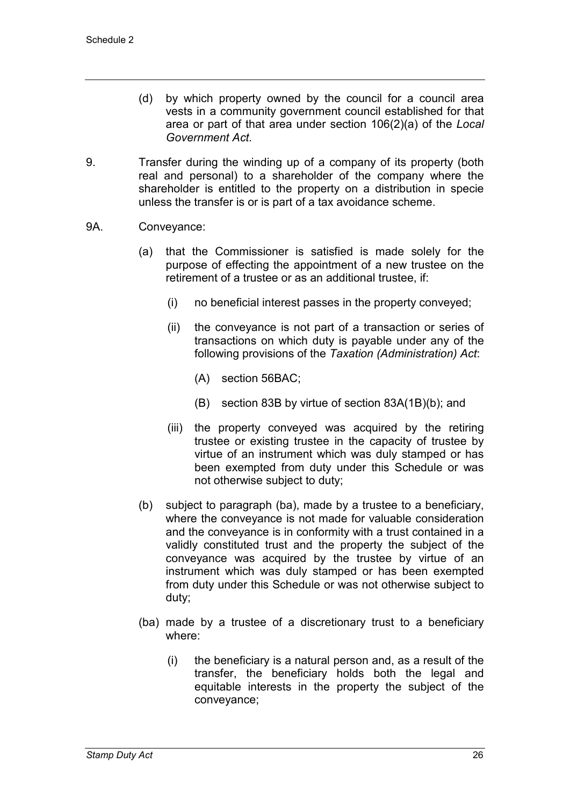- (d) by which property owned by the council for a council area vests in a community government council established for that area or part of that area under section 106(2)(a) of the *Local Government Act*.
- 9. Transfer during the winding up of a company of its property (both real and personal) to a shareholder of the company where the shareholder is entitled to the property on a distribution in specie unless the transfer is or is part of a tax avoidance scheme.
- 9A. Conveyance:
	- (a) that the Commissioner is satisfied is made solely for the purpose of effecting the appointment of a new trustee on the retirement of a trustee or as an additional trustee, if:
		- (i) no beneficial interest passes in the property conveyed;
		- (ii) the conveyance is not part of a transaction or series of transactions on which duty is payable under any of the following provisions of the *Taxation (Administration) Act*:
			- (A) section 56BAC;
			- (B) section 83B by virtue of section 83A(1B)(b); and
		- (iii) the property conveyed was acquired by the retiring trustee or existing trustee in the capacity of trustee by virtue of an instrument which was duly stamped or has been exempted from duty under this Schedule or was not otherwise subject to duty;
	- (b) subject to paragraph (ba), made by a trustee to a beneficiary, where the conveyance is not made for valuable consideration and the conveyance is in conformity with a trust contained in a validly constituted trust and the property the subject of the conveyance was acquired by the trustee by virtue of an instrument which was duly stamped or has been exempted from duty under this Schedule or was not otherwise subject to duty;
	- (ba) made by a trustee of a discretionary trust to a beneficiary where:
		- (i) the beneficiary is a natural person and, as a result of the transfer, the beneficiary holds both the legal and equitable interests in the property the subject of the conveyance;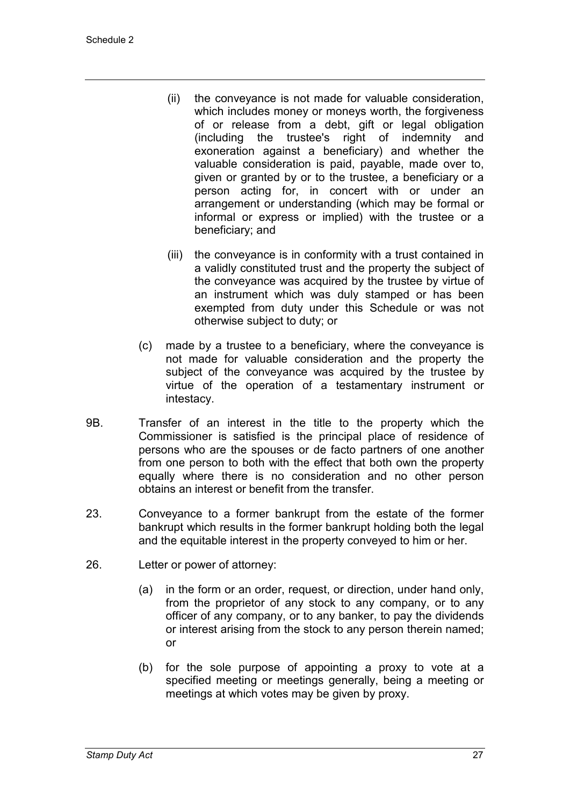- (ii) the conveyance is not made for valuable consideration, which includes money or moneys worth, the forgiveness of or release from a debt, gift or legal obligation (including the trustee's right of indemnity and exoneration against a beneficiary) and whether the valuable consideration is paid, payable, made over to, given or granted by or to the trustee, a beneficiary or a person acting for, in concert with or under an arrangement or understanding (which may be formal or informal or express or implied) with the trustee or a beneficiary; and
- (iii) the conveyance is in conformity with a trust contained in a validly constituted trust and the property the subject of the conveyance was acquired by the trustee by virtue of an instrument which was duly stamped or has been exempted from duty under this Schedule or was not otherwise subject to duty; or
- (c) made by a trustee to a beneficiary, where the conveyance is not made for valuable consideration and the property the subject of the conveyance was acquired by the trustee by virtue of the operation of a testamentary instrument or intestacy.
- 9B. Transfer of an interest in the title to the property which the Commissioner is satisfied is the principal place of residence of persons who are the spouses or de facto partners of one another from one person to both with the effect that both own the property equally where there is no consideration and no other person obtains an interest or benefit from the transfer.
- 23. Conveyance to a former bankrupt from the estate of the former bankrupt which results in the former bankrupt holding both the legal and the equitable interest in the property conveyed to him or her.
- 26. Letter or power of attorney:
	- (a) in the form or an order, request, or direction, under hand only, from the proprietor of any stock to any company, or to any officer of any company, or to any banker, to pay the dividends or interest arising from the stock to any person therein named; or
	- (b) for the sole purpose of appointing a proxy to vote at a specified meeting or meetings generally, being a meeting or meetings at which votes may be given by proxy.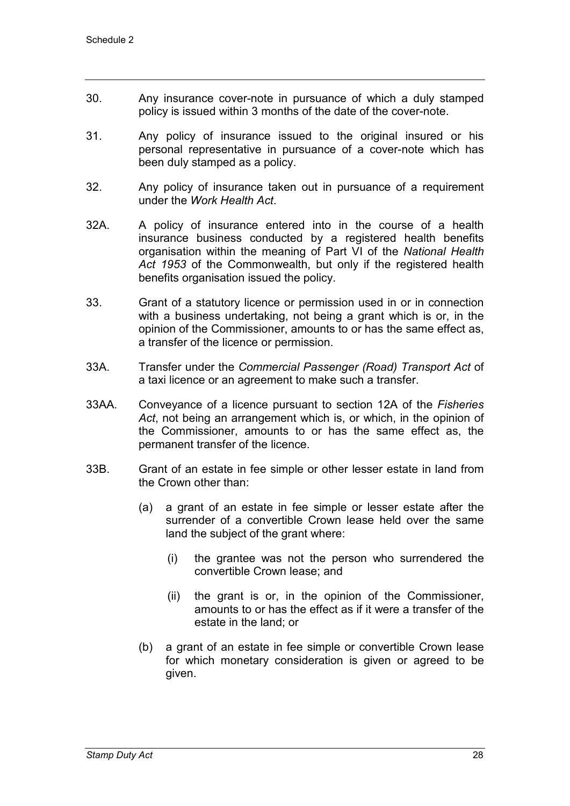- 30. Any insurance cover-note in pursuance of which a duly stamped policy is issued within 3 months of the date of the cover-note.
- 31. Any policy of insurance issued to the original insured or his personal representative in pursuance of a cover-note which has been duly stamped as a policy.
- 32. Any policy of insurance taken out in pursuance of a requirement under the *Work Health Act*.
- 32A. A policy of insurance entered into in the course of a health insurance business conducted by a registered health benefits organisation within the meaning of Part VI of the *National Health Act 1953* of the Commonwealth, but only if the registered health benefits organisation issued the policy.
- 33. Grant of a statutory licence or permission used in or in connection with a business undertaking, not being a grant which is or, in the opinion of the Commissioner, amounts to or has the same effect as, a transfer of the licence or permission.
- 33A. Transfer under the *Commercial Passenger (Road) Transport Act* of a taxi licence or an agreement to make such a transfer.
- 33AA. Conveyance of a licence pursuant to section 12A of the *Fisheries Act*, not being an arrangement which is, or which, in the opinion of the Commissioner, amounts to or has the same effect as, the permanent transfer of the licence.
- 33B. Grant of an estate in fee simple or other lesser estate in land from the Crown other than:
	- (a) a grant of an estate in fee simple or lesser estate after the surrender of a convertible Crown lease held over the same land the subject of the grant where:
		- (i) the grantee was not the person who surrendered the convertible Crown lease; and
		- (ii) the grant is or, in the opinion of the Commissioner, amounts to or has the effect as if it were a transfer of the estate in the land; or
	- (b) a grant of an estate in fee simple or convertible Crown lease for which monetary consideration is given or agreed to be given.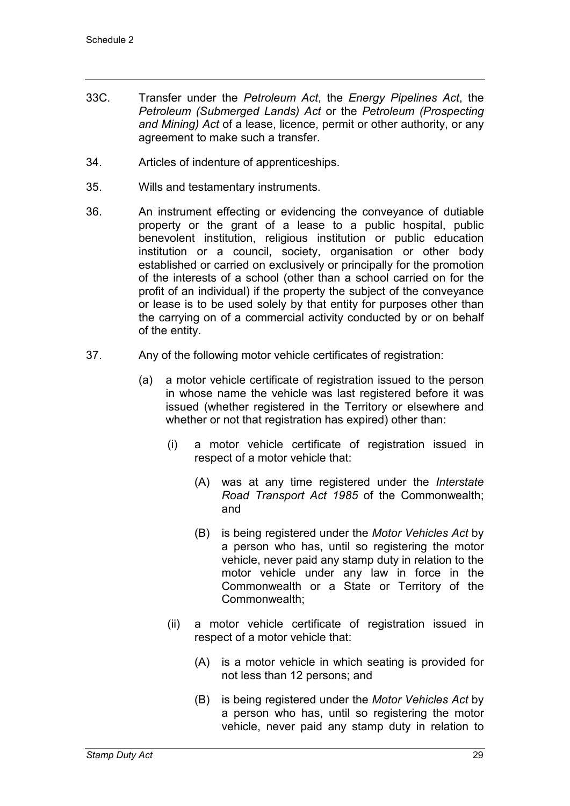- 33C. Transfer under the *Petroleum Act*, the *Energy Pipelines Act*, the *Petroleum (Submerged Lands) Act* or the *Petroleum (Prospecting and Mining) Act* of a lease, licence, permit or other authority, or any agreement to make such a transfer.
- 34. Articles of indenture of apprenticeships.
- 35. Wills and testamentary instruments.
- 36. An instrument effecting or evidencing the conveyance of dutiable property or the grant of a lease to a public hospital, public benevolent institution, religious institution or public education institution or a council, society, organisation or other body established or carried on exclusively or principally for the promotion of the interests of a school (other than a school carried on for the profit of an individual) if the property the subject of the conveyance or lease is to be used solely by that entity for purposes other than the carrying on of a commercial activity conducted by or on behalf of the entity.
- 37. Any of the following motor vehicle certificates of registration:
	- (a) a motor vehicle certificate of registration issued to the person in whose name the vehicle was last registered before it was issued (whether registered in the Territory or elsewhere and whether or not that registration has expired) other than:
		- (i) a motor vehicle certificate of registration issued in respect of a motor vehicle that:
			- (A) was at any time registered under the *Interstate Road Transport Act 1985* of the Commonwealth; and
			- (B) is being registered under the *Motor Vehicles Act* by a person who has, until so registering the motor vehicle, never paid any stamp duty in relation to the motor vehicle under any law in force in the Commonwealth or a State or Territory of the Commonwealth;
		- (ii) a motor vehicle certificate of registration issued in respect of a motor vehicle that:
			- (A) is a motor vehicle in which seating is provided for not less than 12 persons; and
			- (B) is being registered under the *Motor Vehicles Act* by a person who has, until so registering the motor vehicle, never paid any stamp duty in relation to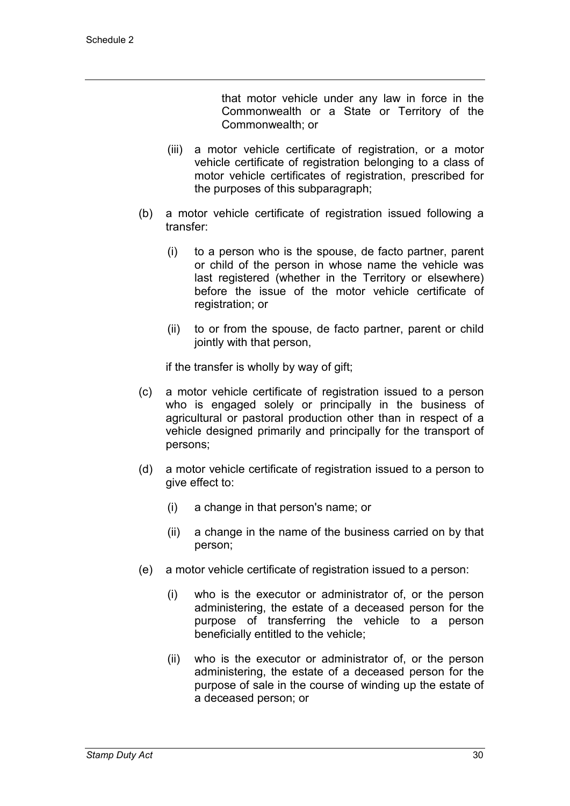that motor vehicle under any law in force in the Commonwealth or a State or Territory of the Commonwealth; or

- (iii) a motor vehicle certificate of registration, or a motor vehicle certificate of registration belonging to a class of motor vehicle certificates of registration, prescribed for the purposes of this subparagraph;
- (b) a motor vehicle certificate of registration issued following a transfer:
	- (i) to a person who is the spouse, de facto partner, parent or child of the person in whose name the vehicle was last registered (whether in the Territory or elsewhere) before the issue of the motor vehicle certificate of registration; or
	- (ii) to or from the spouse, de facto partner, parent or child jointly with that person,

if the transfer is wholly by way of gift;

- (c) a motor vehicle certificate of registration issued to a person who is engaged solely or principally in the business of agricultural or pastoral production other than in respect of a vehicle designed primarily and principally for the transport of persons;
- (d) a motor vehicle certificate of registration issued to a person to give effect to:
	- (i) a change in that person's name; or
	- (ii) a change in the name of the business carried on by that person;
- (e) a motor vehicle certificate of registration issued to a person:
	- (i) who is the executor or administrator of, or the person administering, the estate of a deceased person for the purpose of transferring the vehicle to a person beneficially entitled to the vehicle;
	- (ii) who is the executor or administrator of, or the person administering, the estate of a deceased person for the purpose of sale in the course of winding up the estate of a deceased person; or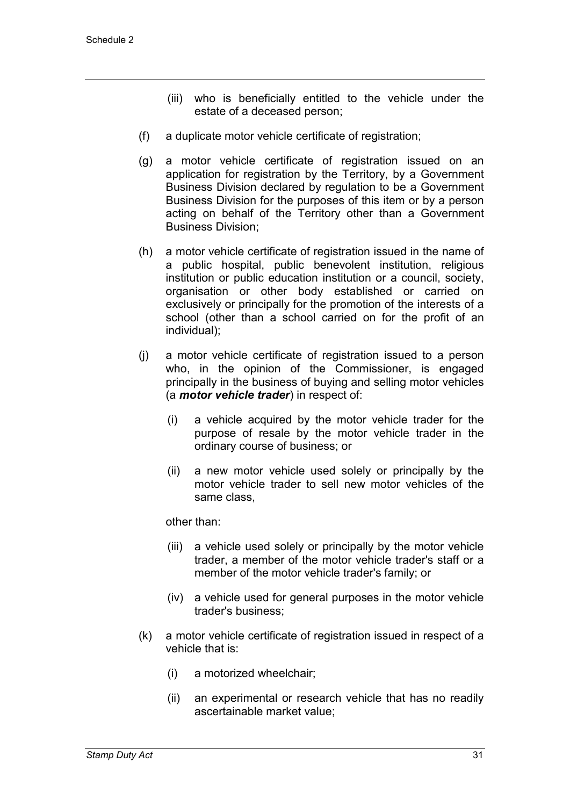- (iii) who is beneficially entitled to the vehicle under the estate of a deceased person;
- (f) a duplicate motor vehicle certificate of registration;
- (g) a motor vehicle certificate of registration issued on an application for registration by the Territory, by a Government Business Division declared by regulation to be a Government Business Division for the purposes of this item or by a person acting on behalf of the Territory other than a Government Business Division;
- (h) a motor vehicle certificate of registration issued in the name of a public hospital, public benevolent institution, religious institution or public education institution or a council, society, organisation or other body established or carried on exclusively or principally for the promotion of the interests of a school (other than a school carried on for the profit of an individual);
- (j) a motor vehicle certificate of registration issued to a person who, in the opinion of the Commissioner, is engaged principally in the business of buying and selling motor vehicles (a *motor vehicle trader*) in respect of:
	- (i) a vehicle acquired by the motor vehicle trader for the purpose of resale by the motor vehicle trader in the ordinary course of business; or
	- (ii) a new motor vehicle used solely or principally by the motor vehicle trader to sell new motor vehicles of the same class,

other than:

- (iii) a vehicle used solely or principally by the motor vehicle trader, a member of the motor vehicle trader's staff or a member of the motor vehicle trader's family; or
- (iv) a vehicle used for general purposes in the motor vehicle trader's business;
- (k) a motor vehicle certificate of registration issued in respect of a vehicle that is:
	- (i) a motorized wheelchair;
	- (ii) an experimental or research vehicle that has no readily ascertainable market value;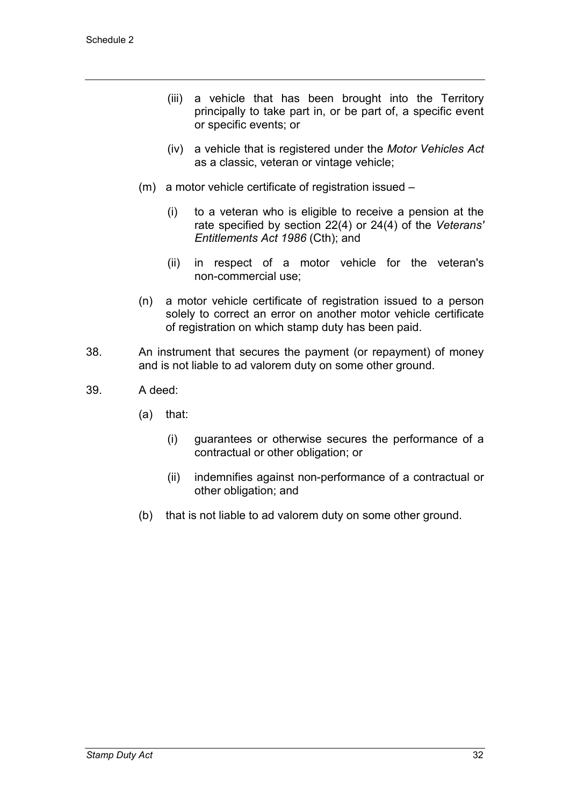- (iii) a vehicle that has been brought into the Territory principally to take part in, or be part of, a specific event or specific events; or
- (iv) a vehicle that is registered under the *Motor Vehicles Act* as a classic, veteran or vintage vehicle;
- (m) a motor vehicle certificate of registration issued
	- (i) to a veteran who is eligible to receive a pension at the rate specified by section 22(4) or 24(4) of the *Veterans' Entitlements Act 1986* (Cth); and
	- (ii) in respect of a motor vehicle for the veteran's non-commercial use;
- (n) a motor vehicle certificate of registration issued to a person solely to correct an error on another motor vehicle certificate of registration on which stamp duty has been paid.
- 38. An instrument that secures the payment (or repayment) of money and is not liable to ad valorem duty on some other ground.
- 39. A deed:
	- (a) that:
		- (i) guarantees or otherwise secures the performance of a contractual or other obligation; or
		- (ii) indemnifies against non-performance of a contractual or other obligation; and
	- (b) that is not liable to ad valorem duty on some other ground.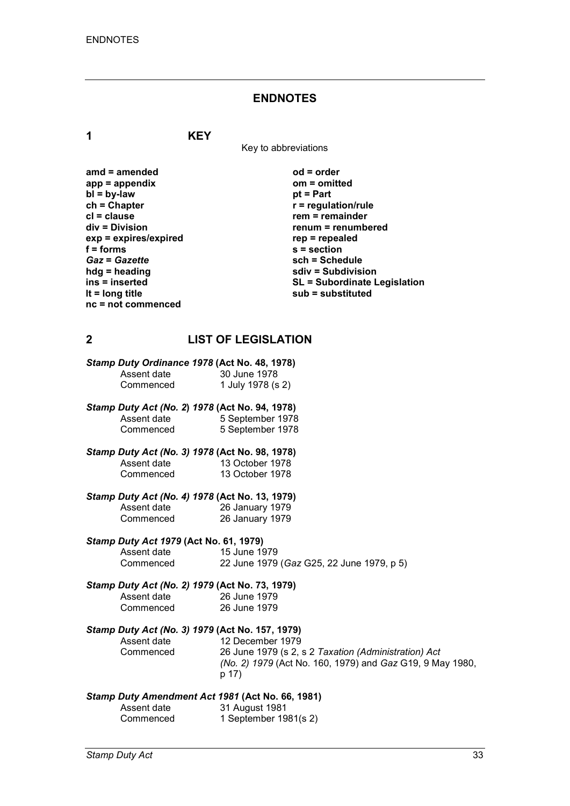#### **ENDNOTES**

**1 KEY**

Key to abbreviations

**amd = amended od = order** app = appendix<br>bl = by-law bl = by-law bl = part **bl** = by-law<br>ch = Chapter **ch = Chapter r** = regulation/rule<br> **cl** = clause **r** = clause **r** = remainder **cl = clause rem = remainder**  $exp = exp$ **ires/expired**<br>**f** = forms *Gaz* = *Gazette*<br>hdg = heading **hdg = heading sdiv = Subdivision nc = not commenced**

**renum = renumbered**<br>rep = repealed **f = forms s = section ins = inserted SL = Subordinate Legislation lt = long title sub = substituted**

#### **2 LIST OF LEGISLATION**

| Stamp Duty Ordinance 1978 (Act No. 48, 1978) |                   |
|----------------------------------------------|-------------------|
| Assent date                                  | 30 June 1978      |
| Commenced                                    | 1 July 1978 (s 2) |

- *Stamp Duty Act (No. 2***)** *1978* **(Act No. 94, 1978)** Assent date  $\begin{array}{r} 5 \text{ September 1978} \\ 5 \text{ September 1978} \end{array}$ 5 September 1978
- *Stamp Duty Act (No. 3) 1978* **(Act No. 98, 1978)** Assent date 13 October 1978<br>Commenced 13 October 1978 13 October 1978
- *Stamp Duty Act (No. 4) 1978* **(Act No. 13, 1979)**

Assent date 26 January 1979<br>Commenced 26 January 1979 26 January 1979

# *Stamp Duty Act 1979* **(Act No. 61, 1979)**

Assent date 15 June 1979<br>Commenced 22 June 1979 22 June 1979 (*Gaz* G25, 22 June 1979, p 5)

|             | Stamp Duty Act (No. 2) 1979 (Act No. 73, 1979) |
|-------------|------------------------------------------------|
| Assent date | 26 June 1979                                   |
| Commenced   | 26 June 1979                                   |

# *Stamp Duty Act (No. 3) 1979* **(Act No. 157, 1979)**

Assent date 12 December 1979<br>Commenced 26 June 1979 (s 2. 26 June 1979 (s 2, s 2 *Taxation (Administration) Act (No. 2) 1979* (Act No. 160, 1979) and *Gaz* G19, 9 May 1980, p 17)

#### *Stamp Duty Amendment Act 1981* **(Act No. 66, 1981)**

| Assent date | 31 August 1981          |
|-------------|-------------------------|
| Commenced   | 1 September $1981(s 2)$ |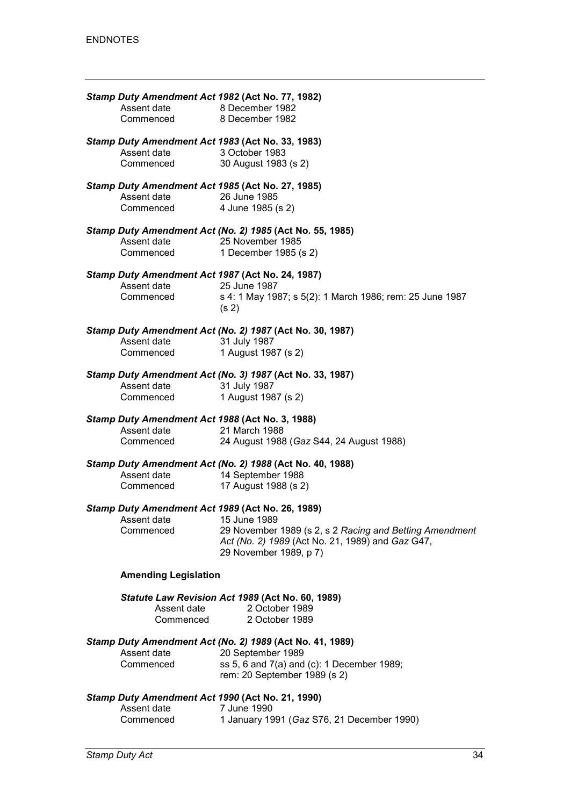| Assent date<br>Commenced              | Stamp Duty Amendment Act 1982 (Act No. 77, 1982)<br>8 December 1982<br>8 December 1982                                                                                                    |
|---------------------------------------|-------------------------------------------------------------------------------------------------------------------------------------------------------------------------------------------|
| Assent date<br>Commenced              | Stamp Duty Amendment Act 1983 (Act No. 33, 1983)<br>3 October 1983<br>30 August 1983 (s 2)                                                                                                |
| Assent date<br>Commenced              | Stamp Duty Amendment Act 1985 (Act No. 27, 1985)<br>26 June 1985<br>4 June 1985 (s 2)                                                                                                     |
| Assent date<br>Commenced              | Stamp Duty Amendment Act (No. 2) 1985 (Act No. 55, 1985)<br>25 November 1985<br>1 December 1985 (s 2)                                                                                     |
| Assent date<br>Commenced              | Stamp Duty Amendment Act 1987 (Act No. 24, 1987)<br>25 June 1987<br>s 4: 1 May 1987; s 5(2): 1 March 1986; rem: 25 June 1987<br>(s <sub>2</sub> )                                         |
| Assent date<br>Commenced              | Stamp Duty Amendment Act (No. 2) 1987 (Act No. 30, 1987)<br>31 July 1987<br>1 August 1987 (s 2)                                                                                           |
| Assent date<br>Commenced              | Stamp Duty Amendment Act (No. 3) 1987 (Act No. 33, 1987)<br>31 July 1987<br>1 August 1987 (s 2)                                                                                           |
| Assent date<br>Commenced              | Stamp Duty Amendment Act 1988 (Act No. 3, 1988)<br>21 March 1988<br>24 August 1988 (Gaz S44, 24 August 1988)                                                                              |
| Assent date<br>Commenced              | Stamp Duty Amendment Act (No. 2) 1988 (Act No. 40, 1988)<br>14 September 1988<br>17 August 1988 (s 2)                                                                                     |
| Assent date 15 June 1989<br>Commenced | Stamp Duty Amendment Act 1989 (Act No. 26, 1989)<br>29 November 1989 (s 2, s 2 Racing and Betting Amendment<br>Act (No. 2) 1989 (Act No. 21, 1989) and Gaz G47,<br>29 November 1989, p 7) |
| <b>Amending Legislation</b>           |                                                                                                                                                                                           |
| Assent date<br>Commenced              | Statute Law Revision Act 1989 (Act No. 60, 1989)<br>2 October 1989<br>2 October 1989                                                                                                      |
| Assent date<br>Commenced              | Stamp Duty Amendment Act (No. 2) 1989 (Act No. 41, 1989)<br>20 September 1989<br>ss 5, 6 and 7(a) and (c): 1 December 1989;<br>rem: 20 September 1989 (s 2)                               |
| Accont doto                           | Stamp Duty Amendment Act 1990 (Act No. 21, 1990)<br>$7 \; \text{lim} \, 4000$                                                                                                             |

| Assent date | 7 June 1990                                |
|-------------|--------------------------------------------|
| Commenced   | 1 January 1991 (Gaz S76, 21 December 1990) |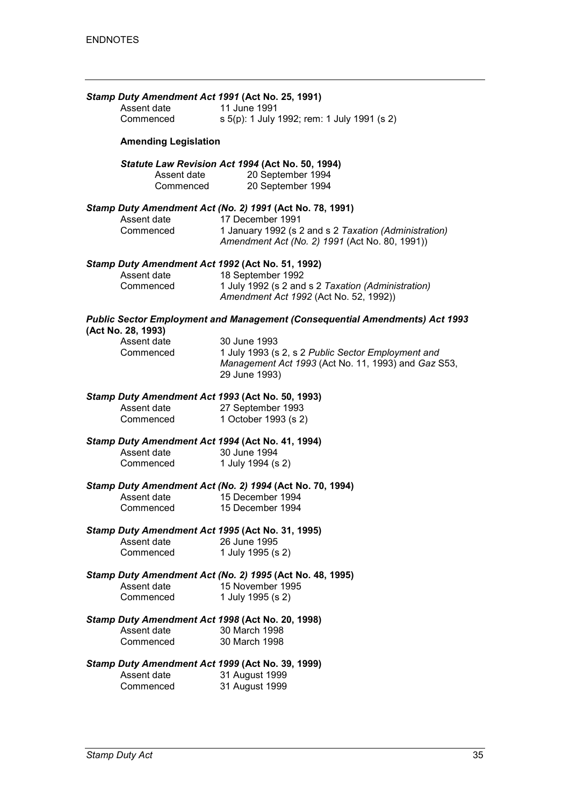|                             | Stamp Duty Amendment Act 1991 (Act No. 25, 1991)                                                                            |
|-----------------------------|-----------------------------------------------------------------------------------------------------------------------------|
| Assent date                 | 11 June 1991                                                                                                                |
| Commenced                   | s 5(p): 1 July 1992; rem: 1 July 1991 (s 2)                                                                                 |
| <b>Amending Legislation</b> |                                                                                                                             |
| Assent date<br>Commenced    | Statute Law Revision Act 1994 (Act No. 50, 1994)<br>20 September 1994<br>20 September 1994                                  |
|                             | Stamp Duty Amendment Act (No. 2) 1991 (Act No. 78, 1991)                                                                    |
| Assent date<br>Commenced    | 17 December 1991<br>1 January 1992 (s 2 and s 2 Taxation (Administration)<br>Amendment Act (No. 2) 1991 (Act No. 80, 1991)) |
|                             | Stamp Duty Amendment Act 1992 (Act No. 51, 1992)                                                                            |
| Assent date<br>Commenced    | 18 September 1992<br>1 July 1992 (s 2 and s 2 Taxation (Administration)<br>Amendment Act 1992 (Act No. 52, 1992))           |
| (Act No. 28, 1993)          | <b>Public Sector Employment and Management (Consequential Amendments) Act 1993</b>                                          |
| Assent date                 | 30 June 1993                                                                                                                |
| Commenced                   | 1 July 1993 (s 2, s 2 Public Sector Employment and<br>Management Act 1993 (Act No. 11, 1993) and Gaz S53,<br>29 June 1993)  |
|                             | Stamp Duty Amendment Act 1993 (Act No. 50, 1993)                                                                            |
| Assent date                 | 27 September 1993                                                                                                           |
| Commenced                   | 1 October 1993 (s 2)                                                                                                        |
|                             | Stamp Duty Amendment Act 1994 (Act No. 41, 1994)                                                                            |
| Assent date                 | 30 June 1994                                                                                                                |
| Commenced                   | 1 July 1994 (s 2)                                                                                                           |
|                             | Stamp Duty Amendment Act (No. 2) 1994 (Act No. 70, 1994)                                                                    |
| Assent date                 | 15 December 1994                                                                                                            |
| Commenced                   | 15 December 1994                                                                                                            |
|                             | Stamp Duty Amendment Act 1995 (Act No. 31, 1995)                                                                            |
| Assent date                 | 26 June 1995                                                                                                                |
| Commenced                   | 1 July 1995 (s 2)                                                                                                           |
|                             | Stamp Duty Amendment Act (No. 2) 1995 (Act No. 48, 1995)                                                                    |
| Assent date                 | 15 November 1995                                                                                                            |
| Commenced                   | 1 July 1995 (s 2)                                                                                                           |
|                             | Stamp Duty Amendment Act 1998 (Act No. 20, 1998)                                                                            |
| Assent date                 | 30 March 1998                                                                                                               |
| Commenced                   | 30 March 1998                                                                                                               |
|                             | Stamp Duty Amendment Act 1999 (Act No. 39, 1999)                                                                            |
| Assent date                 | 31 August 1999                                                                                                              |
| Commenced                   | 31 August 1999                                                                                                              |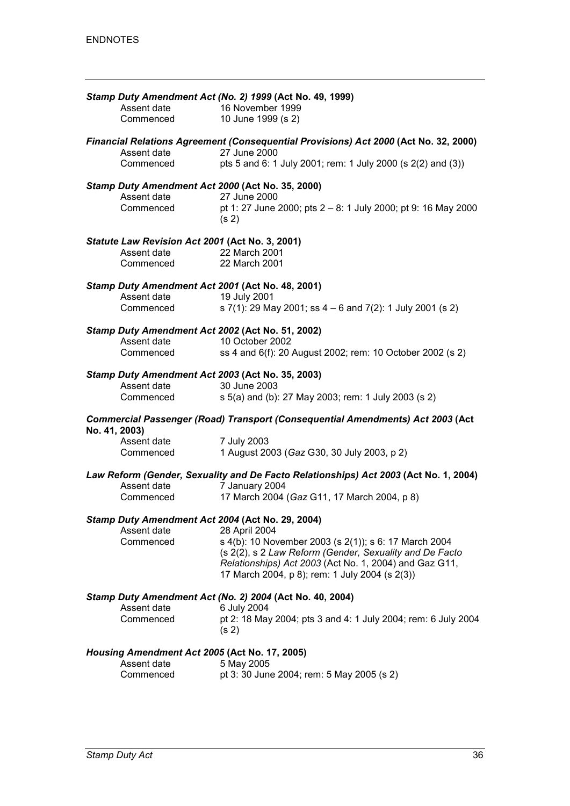|               |                                                 | Stamp Duty Amendment Act (No. 2) 1999 (Act No. 49, 1999)                                                         |
|---------------|-------------------------------------------------|------------------------------------------------------------------------------------------------------------------|
|               | Assent date                                     | 16 November 1999                                                                                                 |
|               | Commenced                                       | 10 June 1999 (s 2)                                                                                               |
|               |                                                 |                                                                                                                  |
|               | Assent date                                     | Financial Relations Agreement (Consequential Provisions) Act 2000 (Act No. 32, 2000)<br>27 June 2000             |
|               | Commenced                                       | pts 5 and 6: 1 July 2001; rem: 1 July 2000 (s 2(2) and (3))                                                      |
|               |                                                 | Stamp Duty Amendment Act 2000 (Act No. 35, 2000)                                                                 |
|               | Assent date                                     | 27 June 2000                                                                                                     |
|               | Commenced                                       | pt 1: 27 June 2000; pts 2 – 8: 1 July 2000; pt 9: 16 May 2000<br>(s <sub>2</sub> )                               |
|               | Statute Law Revision Act 2001 (Act No. 3, 2001) |                                                                                                                  |
|               | Assent date                                     | 22 March 2001                                                                                                    |
|               | Commenced                                       | 22 March 2001                                                                                                    |
|               |                                                 | Stamp Duty Amendment Act 2001 (Act No. 48, 2001)                                                                 |
|               | Assent date                                     | 19 July 2001                                                                                                     |
|               | Commenced                                       | s 7(1): 29 May 2001; ss 4 – 6 and 7(2): 1 July 2001 (s 2)                                                        |
|               |                                                 | Stamp Duty Amendment Act 2002 (Act No. 51, 2002)                                                                 |
|               | Assent date                                     | 10 October 2002                                                                                                  |
|               | Commenced                                       | ss 4 and 6(f): 20 August 2002; rem: 10 October 2002 (s 2)                                                        |
|               |                                                 | Stamp Duty Amendment Act 2003 (Act No. 35, 2003)                                                                 |
|               | Assent date                                     | 30 June 2003                                                                                                     |
|               | Commenced                                       | s 5(a) and (b): 27 May 2003; rem: 1 July 2003 (s 2)                                                              |
| No. 41, 2003) |                                                 | <b>Commercial Passenger (Road) Transport (Consequential Amendments) Act 2003 (Act</b>                            |
|               | Assent date                                     | 7 July 2003                                                                                                      |
|               | Commenced                                       | 1 August 2003 (Gaz G30, 30 July 2003, p 2)                                                                       |
|               |                                                 | Law Reform (Gender, Sexuality and De Facto Relationships) Act 2003 (Act No. 1, 2004)                             |
|               | Assent date                                     | 7 January 2004                                                                                                   |
|               | Commenced                                       | 17 March 2004 (Gaz G11, 17 March 2004, p 8)                                                                      |
|               |                                                 | Stamp Duty Amendment Act 2004 (Act No. 29, 2004)                                                                 |
|               | Assent date                                     | 28 April 2004                                                                                                    |
|               | Commenced                                       | s 4(b): 10 November 2003 (s 2(1)); s 6: 17 March 2004<br>(s 2(2), s 2 Law Reform (Gender, Sexuality and De Facto |
|               |                                                 | Relationships) Act 2003 (Act No. 1, 2004) and Gaz G11,                                                           |
|               |                                                 | 17 March 2004, p 8); rem: 1 July 2004 (s 2(3))                                                                   |
|               |                                                 |                                                                                                                  |
|               |                                                 | Stamp Duty Amendment Act (No. 2) 2004 (Act No. 40, 2004)                                                         |
|               | Assent date<br>Commenced                        | 6 July 2004                                                                                                      |
|               |                                                 | pt 2: 18 May 2004; pts 3 and 4: 1 July 2004; rem: 6 July 2004<br>(s <sub>2</sub> )                               |
|               | Housing Amendment Act 2005 (Act No. 17, 2005)   |                                                                                                                  |
|               | Assent date                                     | 5 May 2005                                                                                                       |
|               | Commenced                                       | pt 3: 30 June 2004; rem: 5 May 2005 (s 2)                                                                        |
|               |                                                 |                                                                                                                  |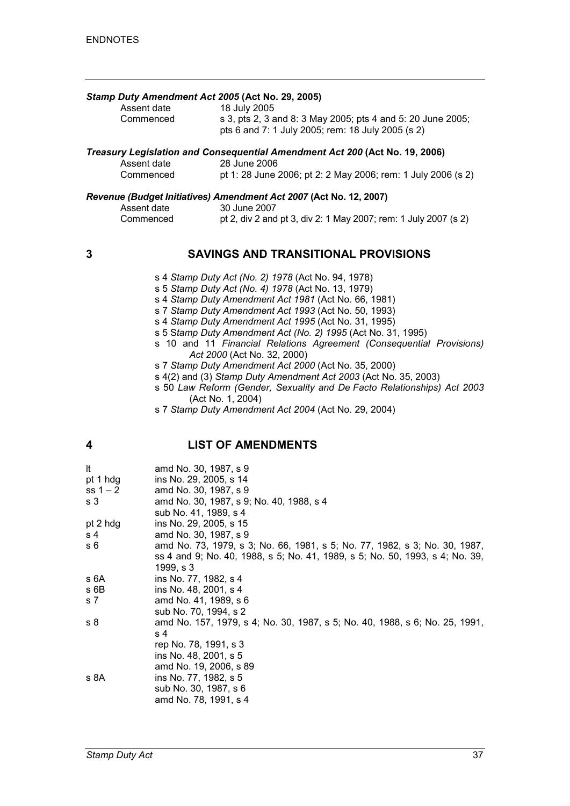#### *Stamp Duty Amendment Act 2005* **(Act No. 29, 2005)**

| Assent date | 18 July 2005                                                |
|-------------|-------------------------------------------------------------|
| Commenced   | s 3, pts 2, 3 and 8: 3 May 2005; pts 4 and 5: 20 June 2005; |
|             | pts 6 and 7: 1 July 2005; rem: 18 July 2005 (s 2)           |

# *Treasury Legislation and Consequential Amendment Act 200* **(Act No. 19, 2006)**

| Assent date | $\blacksquare$ . The state of the state of the state of the state of the state of the state of the state of the state of the state of the state of the state of the state of the state of the state of the state of the state of the<br>28 June 2006 |
|-------------|------------------------------------------------------------------------------------------------------------------------------------------------------------------------------------------------------------------------------------------------------|
| Commenced   | pt 1: 28 June 2006; pt 2: 2 May 2006; rem: 1 July 2006 (s 2)                                                                                                                                                                                         |

#### *Revenue (Budget Initiatives) Amendment Act 2007* **(Act No. 12, 2007)**

| Assent date | 30 June 2007                                                    |
|-------------|-----------------------------------------------------------------|
| Commenced   | pt 2, div 2 and pt 3, div 2: 1 May 2007; rem: 1 July 2007 (s 2) |

#### **3 SAVINGS AND TRANSITIONAL PROVISIONS**

- s 4 *Stamp Duty Act (No. 2) 1978* (Act No. 94, 1978)
- s 5 *Stamp Duty Act (No. 4) 1978* (Act No. 13, 1979)
- s 4 *Stamp Duty Amendment Act 1981* (Act No. 66, 1981)
- s 7 *Stamp Duty Amendment Act 1993* (Act No. 50, 1993)
- s 4 *Stamp Duty Amendment Act 1995* (Act No. 31, 1995)
- s 5 S*tamp Duty Amendment Act (No. 2) 1995* (Act No. 31, 1995)
- s 10 and 11 *Financial Relations Agreement (Consequential Provisions) Act 2000* (Act No. 32, 2000)
- s 7 *Stamp Duty Amendment Act 2000* (Act No. 35, 2000)
- s 4(2) and (3) *Stamp Duty Amendment Act 2003* (Act No. 35, 2003)
- s 50 *Law Reform (Gender, Sexuality and De Facto Relationships) Act 2003* (Act No. 1, 2004)
- s 7 *Stamp Duty Amendment Act 2004* (Act No. 29, 2004)

#### **4 LIST OF AMENDMENTS**

| It<br>pt 1 hdg<br>$ss 1 - 2$<br>s <sub>3</sub> | amd No. 30, 1987, s 9<br>ins No. 29, 2005, s 14<br>amd No. 30, 1987, s 9<br>amd No. 30, 1987, s 9; No. 40, 1988, s 4<br>sub No. 41, 1989, s 4 |
|------------------------------------------------|-----------------------------------------------------------------------------------------------------------------------------------------------|
| pt 2 hdg                                       | ins No. 29, 2005, s 15                                                                                                                        |
| s 4                                            | amd No. 30, 1987, s 9                                                                                                                         |
| s 6                                            | amd No. 73, 1979, s 3; No. 66, 1981, s 5; No. 77, 1982, s 3; No. 30, 1987,                                                                    |
|                                                | ss 4 and 9; No. 40, 1988, s 5; No. 41, 1989, s 5; No. 50, 1993, s 4; No. 39,<br>1999, s3                                                      |
| s 6A                                           | ins No. 77, 1982, s 4                                                                                                                         |
| s 6B                                           | ins No. 48, 2001, s 4                                                                                                                         |
| s 7                                            | amd No. 41, 1989, s 6                                                                                                                         |
|                                                | sub No. 70, 1994, s 2                                                                                                                         |
| s <sub>8</sub>                                 | amd No. 157, 1979, s 4; No. 30, 1987, s 5; No. 40, 1988, s 6; No. 25, 1991,                                                                   |
|                                                | s 4                                                                                                                                           |
|                                                | rep No. 78, 1991, s 3                                                                                                                         |
|                                                | ins No. 48, 2001, s 5                                                                                                                         |
|                                                | amd No. 19, 2006, s 89                                                                                                                        |
| s 8A                                           | ins No. 77, 1982, s 5                                                                                                                         |
|                                                | sub No. 30, 1987, s 6                                                                                                                         |
|                                                | amd No. 78, 1991, s 4                                                                                                                         |